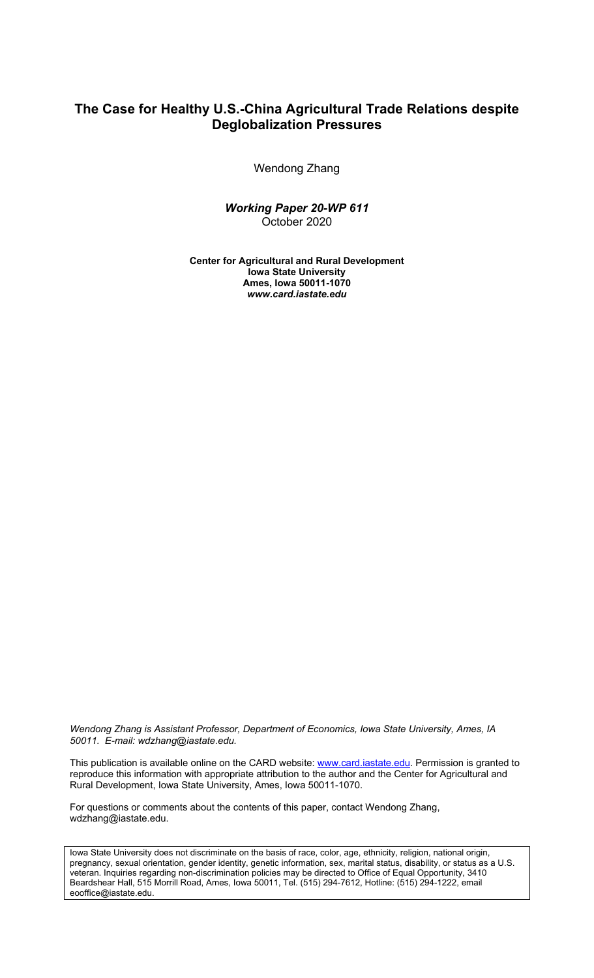#### **The Case for Healthy U.S.-China Agricultural Trade Relations despite Deglobalization Pressures**

Wendong Zhang

*Working Paper 20-WP 611* October 2020

**Center for Agricultural and Rural Development Iowa State University Ames, Iowa 50011-1070** *www.card.iastate.edu*

*Wendong Zhang is Assistant Professor, Department of Economics, Iowa State University, Ames, IA 50011. E-mail: wdzhang@iastate.edu.*

This publication is available online on the CARD website: www.card.iastate.edu. Permission is granted to reproduce this information with appropriate attribution to the author and the Center for Agricultural and Rural Development, Iowa State University, Ames, Iowa 50011-1070.

For questions or comments about the contents of this paper, contact Wendong Zhang, wdzhang@iastate.edu.

Iowa State University does not discriminate on the basis of race, color, age, ethnicity, religion, national origin, pregnancy, sexual orientation, gender identity, genetic information, sex, marital status, disability, or status as a U.S. veteran. Inquiries regarding non-discrimination policies may be directed to Office of Equal Opportunity, 3410 Beardshear Hall, 515 Morrill Road, Ames, Iowa 50011, Tel. (515) 294-7612, Hotline: (515) 294-1222, email eooffice@iastate.edu.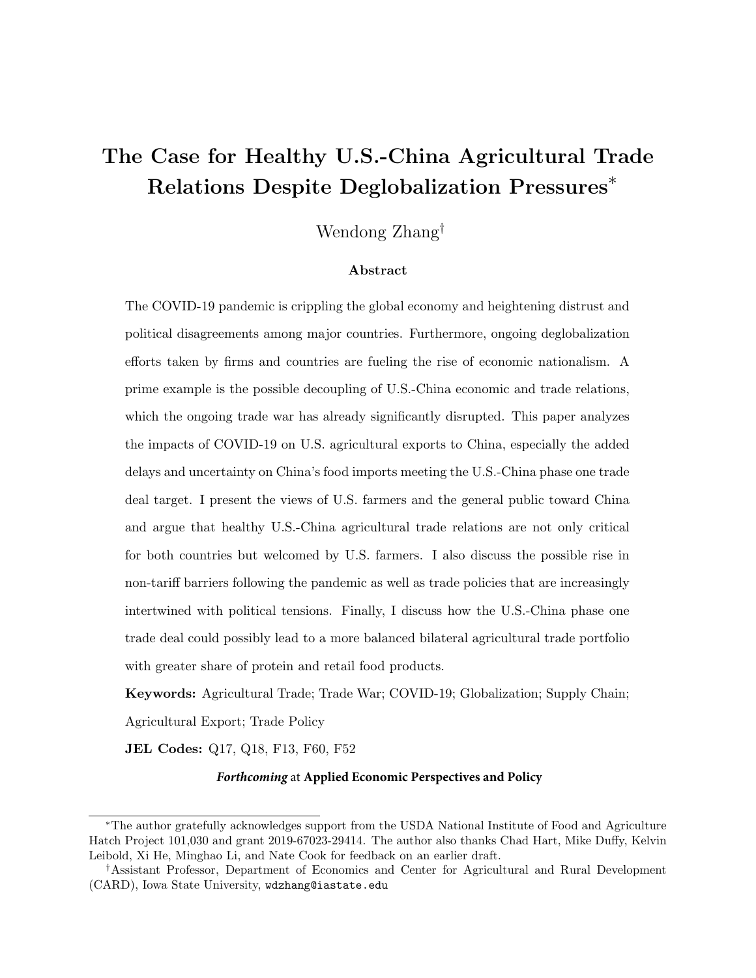### The Case for Healthy U.S.-China Agricultural Trade Relations Despite Deglobalization Pressures<sup>∗</sup>

Wendong Zhang†

#### Abstract

The COVID-19 pandemic is crippling the global economy and heightening distrust and political disagreements among major countries. Furthermore, ongoing deglobalization efforts taken by firms and countries are fueling the rise of economic nationalism. A prime example is the possible decoupling of U.S.-China economic and trade relations, which the ongoing trade war has already significantly disrupted. This paper analyzes the impacts of COVID-19 on U.S. agricultural exports to China, especially the added delays and uncertainty on China's food imports meeting the U.S.-China phase one trade deal target. I present the views of U.S. farmers and the general public toward China and argue that healthy U.S.-China agricultural trade relations are not only critical for both countries but welcomed by U.S. farmers. I also discuss the possible rise in non-tariff barriers following the pandemic as well as trade policies that are increasingly intertwined with political tensions. Finally, I discuss how the U.S.-China phase one trade deal could possibly lead to a more balanced bilateral agricultural trade portfolio with greater share of protein and retail food products.

Keywords: Agricultural Trade; Trade War; COVID-19; Globalization; Supply Chain; Agricultural Export; Trade Policy

JEL Codes: Q17, Q18, F13, F60, F52

#### *Forthcoming* at **Applied Economic Perspectives and Policy**

<sup>∗</sup>The author gratefully acknowledges support from the USDA National Institute of Food and Agriculture Hatch Project 101,030 and grant 2019-67023-29414. The author also thanks Chad Hart, Mike Duffy, Kelvin Leibold, Xi He, Minghao Li, and Nate Cook for feedback on an earlier draft.

<sup>†</sup>Assistant Professor, Department of Economics and Center for Agricultural and Rural Development (CARD), Iowa State University, wdzhang@iastate.edu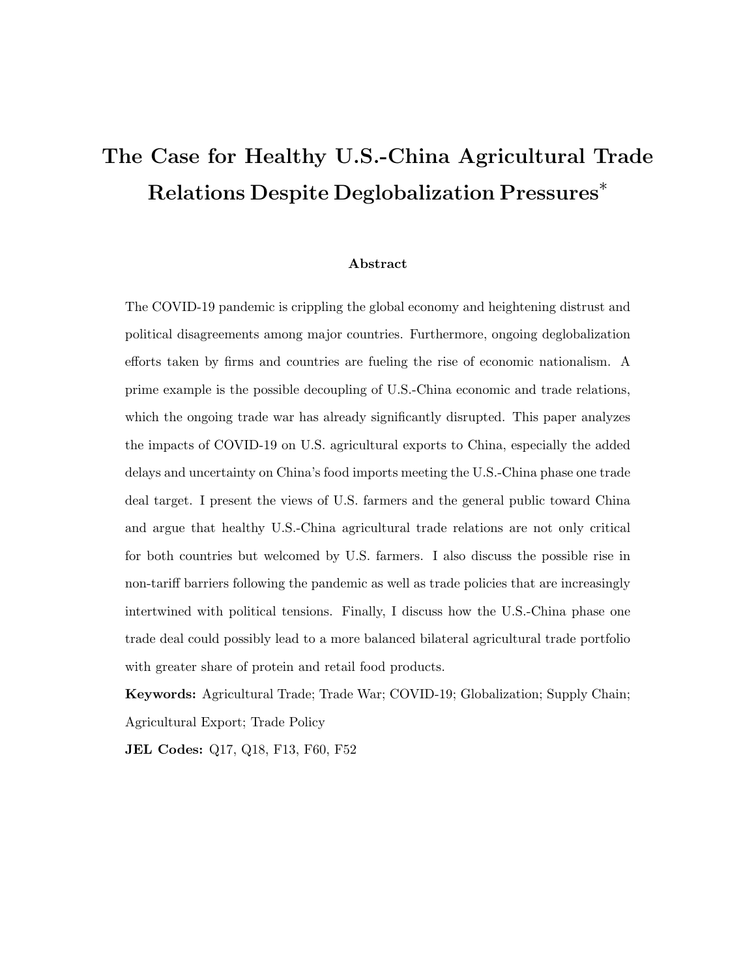## <span id="page-2-0"></span>The Case for Healthy U.S.-China Agricultural Trade Relations Despite Deglobalization Pressures<sup>∗</sup>

#### Abstract

The COVID-19 pandemic is crippling the global economy and heightening distrust and political disagreements among major countries. Furthermore, ongoing deglobalization efforts taken by firms and countries are fueling the rise of economic nationalism. A prime example is the possible decoupling of U.S.-China economic and trade relations, which the ongoing trade war has already significantly disrupted. This paper analyzes the impacts of COVID-19 on U.S. agricultural exports to China, especially the added delays and uncertainty on China's food imports meeting the U.S.-China phase one trade deal target. I present the views of U.S. farmers and the general public toward China and argue that healthy U.S.-China agricultural trade relations are not only critical for both countries but welcomed by U.S. farmers. I also discuss the possible rise in non-tariff barriers following the pandemic as well as trade policies that are increasingly intertwined with political tensions. Finally, I discuss how the U.S.-China phase one trade deal could possibly lead to a more balanced bilateral agricultural trade portfolio with greater share of protein and retail food products.

Keywords: Agricultural Trade; Trade War; COVID-19; Globalization; Supply Chain; Agricultural Export; Trade Policy

JEL Codes: Q17, Q18, F13, F60, F52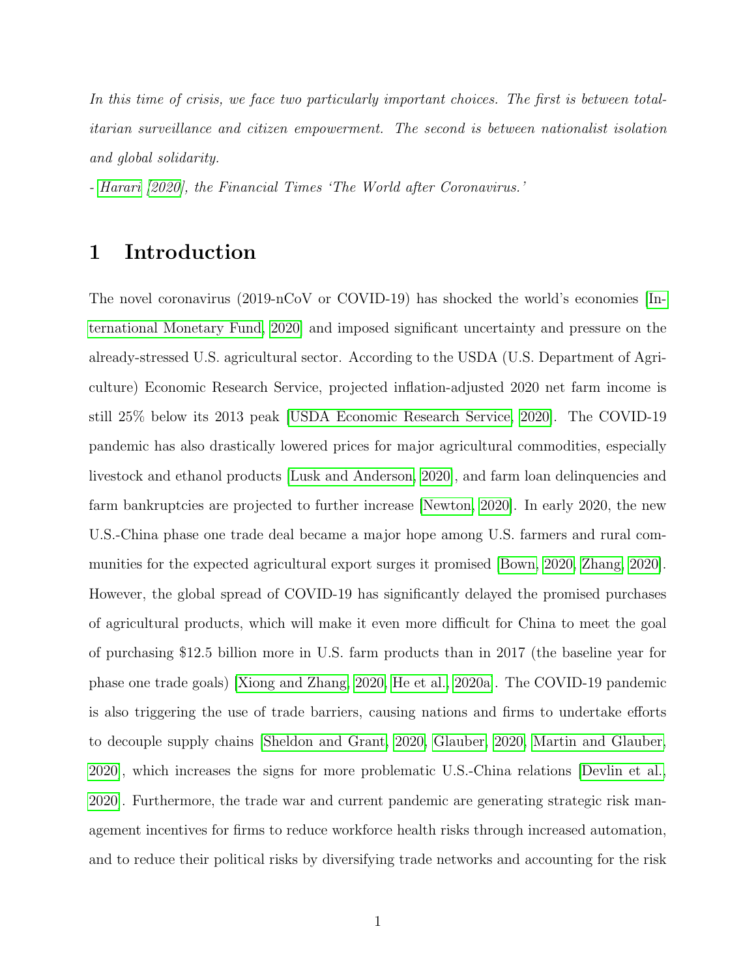In this time of crisis, we face two particularly important choices. The first is between totalitarian surveillance and citizen empowerment. The second is between nationalist isolation and global solidarity.

- [Harari](#page-25-0) [\[2020\]](#page-25-0), the Financial Times 'The World after Coronavirus.'

#### 1 Introduction

The novel coronavirus (2019-nCoV or COVID-19) has shocked the world's economies [\[In](#page-25-1)[ternational Monetary Fund, 2020\]](#page-25-1) and imposed significant uncertainty and pressure on the already-stressed U.S. agricultural sector. According to the USDA (U.S. Department of Agriculture) Economic Research Service, projected inflation-adjusted 2020 net farm income is still 25% below its 2013 peak [\[USDA Economic Research Service, 2020\]](#page-27-0). The COVID-19 pandemic has also drastically lowered prices for major agricultural commodities, especially livestock and ethanol products [\[Lusk and Anderson, 2020\]](#page-25-2), and farm loan delinquencies and farm bankruptcies are projected to further increase [\[Newton, 2020\]](#page-26-0). In early 2020, the new U.S.-China phase one trade deal became a major hope among U.S. farmers and rural communities for the expected agricultural export surges it promised [\[Bown, 2020,](#page-23-0) [Zhang, 2020\]](#page-28-0). However, the global spread of COVID-19 has significantly delayed the promised purchases of agricultural products, which will make it even more difficult for China to meet the goal of purchasing \$12.5 billion more in U.S. farm products than in 2017 (the baseline year for phase one trade goals) [\[Xiong and Zhang, 2020,](#page-28-1) [He et al., 2020a\]](#page-25-3). The COVID-19 pandemic is also triggering the use of trade barriers, causing nations and firms to undertake efforts to decouple supply chains [\[Sheldon and Grant, 2020,](#page-27-1) [Glauber, 2020,](#page-24-0) [Martin and Glauber,](#page-26-1) [2020\]](#page-26-1), which increases the signs for more problematic U.S.-China relations [\[Devlin et al.,](#page-24-1) [2020\]](#page-24-1). Furthermore, the trade war and current pandemic are generating strategic risk management incentives for firms to reduce workforce health risks through increased automation, and to reduce their political risks by diversifying trade networks and accounting for the risk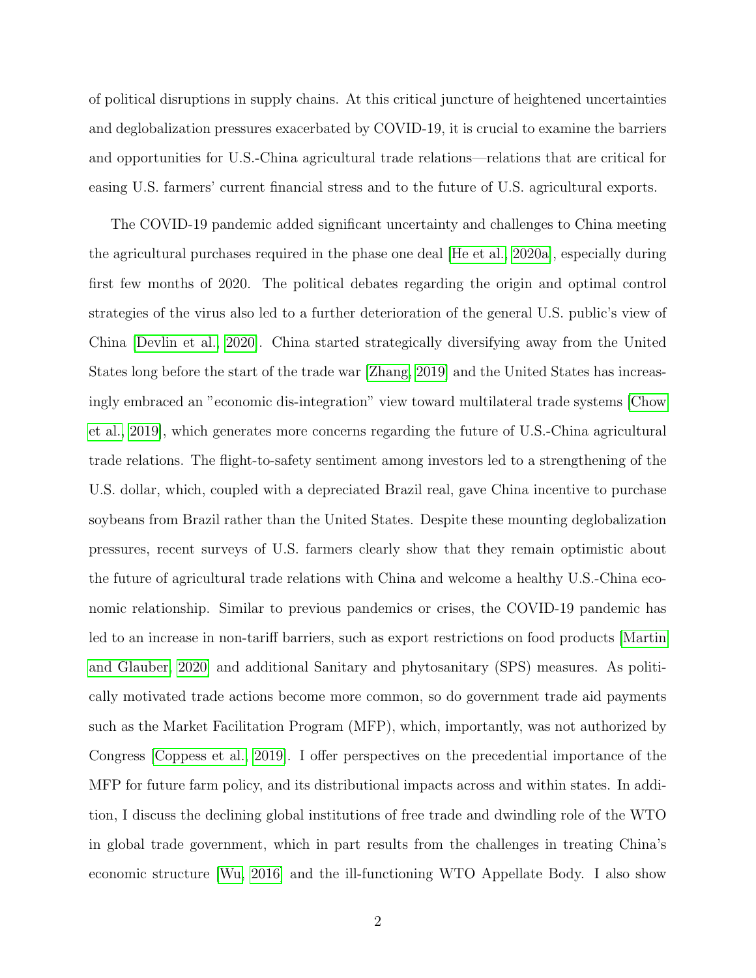of political disruptions in supply chains. At this critical juncture of heightened uncertainties and deglobalization pressures exacerbated by COVID-19, it is crucial to examine the barriers and opportunities for U.S.-China agricultural trade relations—relations that are critical for easing U.S. farmers' current financial stress and to the future of U.S. agricultural exports.

The COVID-19 pandemic added significant uncertainty and challenges to China meeting the agricultural purchases required in the phase one deal [\[He et al., 2020a\]](#page-25-3), especially during first few months of 2020. The political debates regarding the origin and optimal control strategies of the virus also led to a further deterioration of the general U.S. public's view of China [\[Devlin et al., 2020\]](#page-24-1). China started strategically diversifying away from the United States long before the start of the trade war [\[Zhang, 2019\]](#page-28-2) and the United States has increasingly embraced an "economic dis-integration" view toward multilateral trade systems [\[Chow](#page-24-2) [et al., 2019\]](#page-24-2), which generates more concerns regarding the future of U.S.-China agricultural trade relations. The flight-to-safety sentiment among investors led to a strengthening of the U.S. dollar, which, coupled with a depreciated Brazil real, gave China incentive to purchase soybeans from Brazil rather than the United States. Despite these mounting deglobalization pressures, recent surveys of U.S. farmers clearly show that they remain optimistic about the future of agricultural trade relations with China and welcome a healthy U.S.-China economic relationship. Similar to previous pandemics or crises, the COVID-19 pandemic has led to an increase in non-tariff barriers, such as export restrictions on food products [\[Martin](#page-26-1) [and Glauber, 2020\]](#page-26-1) and additional Sanitary and phytosanitary (SPS) measures. As politically motivated trade actions become more common, so do government trade aid payments such as the Market Facilitation Program (MFP), which, importantly, was not authorized by Congress [\[Coppess et al., 2019\]](#page-24-3). I offer perspectives on the precedential importance of the MFP for future farm policy, and its distributional impacts across and within states. In addition, I discuss the declining global institutions of free trade and dwindling role of the WTO in global trade government, which in part results from the challenges in treating China's economic structure [\[Wu, 2016\]](#page-27-2) and the ill-functioning WTO Appellate Body. I also show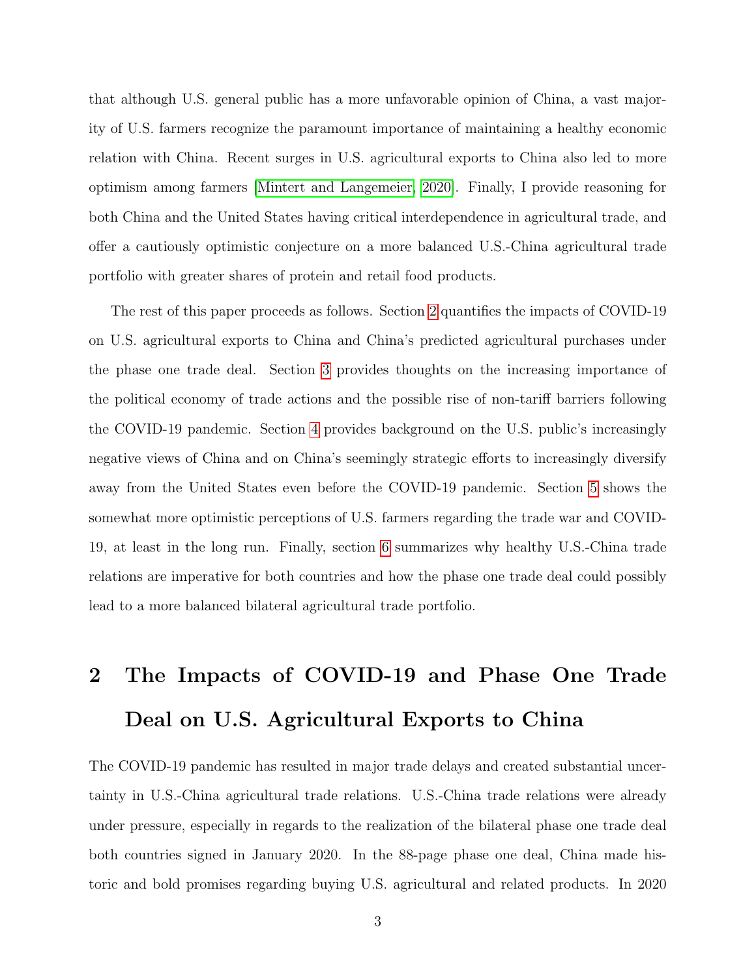that although U.S. general public has a more unfavorable opinion of China, a vast majority of U.S. farmers recognize the paramount importance of maintaining a healthy economic relation with China. Recent surges in U.S. agricultural exports to China also led to more optimism among farmers [\[Mintert and Langemeier, 2020\]](#page-26-2). Finally, I provide reasoning for both China and the United States having critical interdependence in agricultural trade, and offer a cautiously optimistic conjecture on a more balanced U.S.-China agricultural trade portfolio with greater shares of protein and retail food products.

The rest of this paper proceeds as follows. Section [2](#page-5-0) quantifies the impacts of COVID-19 on U.S. agricultural exports to China and China's predicted agricultural purchases under the phase one trade deal. Section [3](#page-10-0) provides thoughts on the increasing importance of the political economy of trade actions and the possible rise of non-tariff barriers following the COVID-19 pandemic. Section [4](#page-15-0) provides background on the U.S. public's increasingly negative views of China and on China's seemingly strategic efforts to increasingly diversify away from the United States even before the COVID-19 pandemic. Section [5](#page-18-0) shows the somewhat more optimistic perceptions of U.S. farmers regarding the trade war and COVID-19, at least in the long run. Finally, section [6](#page-20-0) summarizes why healthy U.S.-China trade relations are imperative for both countries and how the phase one trade deal could possibly lead to a more balanced bilateral agricultural trade portfolio.

# <span id="page-5-0"></span>2 The Impacts of COVID-19 and Phase One Trade Deal on U.S. Agricultural Exports to China

The COVID-19 pandemic has resulted in major trade delays and created substantial uncertainty in U.S.-China agricultural trade relations. U.S.-China trade relations were already under pressure, especially in regards to the realization of the bilateral phase one trade deal both countries signed in January 2020. In the 88-page phase one deal, China made historic and bold promises regarding buying U.S. agricultural and related products. In 2020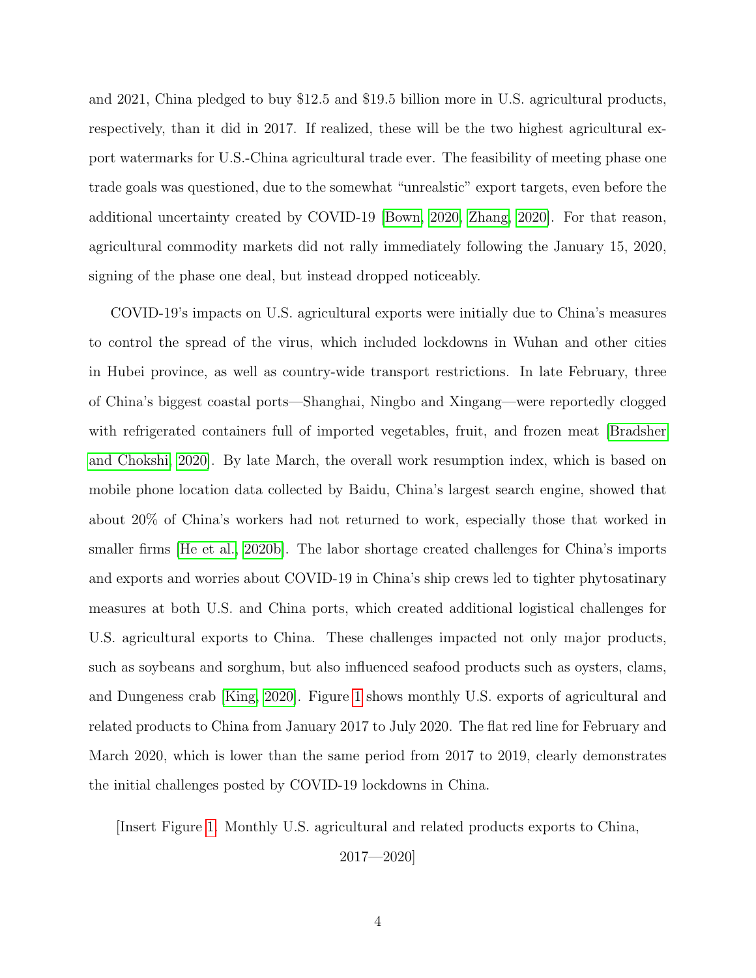and 2021, China pledged to buy \$12.5 and \$19.5 billion more in U.S. agricultural products, respectively, than it did in 2017. If realized, these will be the two highest agricultural export watermarks for U.S.-China agricultural trade ever. The feasibility of meeting phase one trade goals was questioned, due to the somewhat "unrealstic" export targets, even before the additional uncertainty created by COVID-19 [\[Bown, 2020,](#page-23-0) [Zhang, 2020\]](#page-28-0). For that reason, agricultural commodity markets did not rally immediately following the January 15, 2020, signing of the phase one deal, but instead dropped noticeably.

COVID-19's impacts on U.S. agricultural exports were initially due to China's measures to control the spread of the virus, which included lockdowns in Wuhan and other cities in Hubei province, as well as country-wide transport restrictions. In late February, three of China's biggest coastal ports—Shanghai, Ningbo and Xingang—were reportedly clogged with refrigerated containers full of imported vegetables, fruit, and frozen meat [\[Bradsher](#page-23-1) [and Chokshi, 2020\]](#page-23-1). By late March, the overall work resumption index, which is based on mobile phone location data collected by Baidu, China's largest search engine, showed that about 20% of China's workers had not returned to work, especially those that worked in smaller firms [\[He et al., 2020b\]](#page-25-4). The labor shortage created challenges for China's imports and exports and worries about COVID-19 in China's ship crews led to tighter phytosatinary measures at both U.S. and China ports, which created additional logistical challenges for U.S. agricultural exports to China. These challenges impacted not only major products, such as soybeans and sorghum, but also influenced seafood products such as oysters, clams, and Dungeness crab [\[King, 2020\]](#page-25-5). Figure [1](#page-29-0) shows monthly U.S. exports of agricultural and related products to China from January 2017 to July 2020. The flat red line for February and March 2020, which is lower than the same period from 2017 to 2019, clearly demonstrates the initial challenges posted by COVID-19 lockdowns in China.

[Insert Figure [1.](#page-29-0) Monthly U.S. agricultural and related products exports to China,

2017—2020]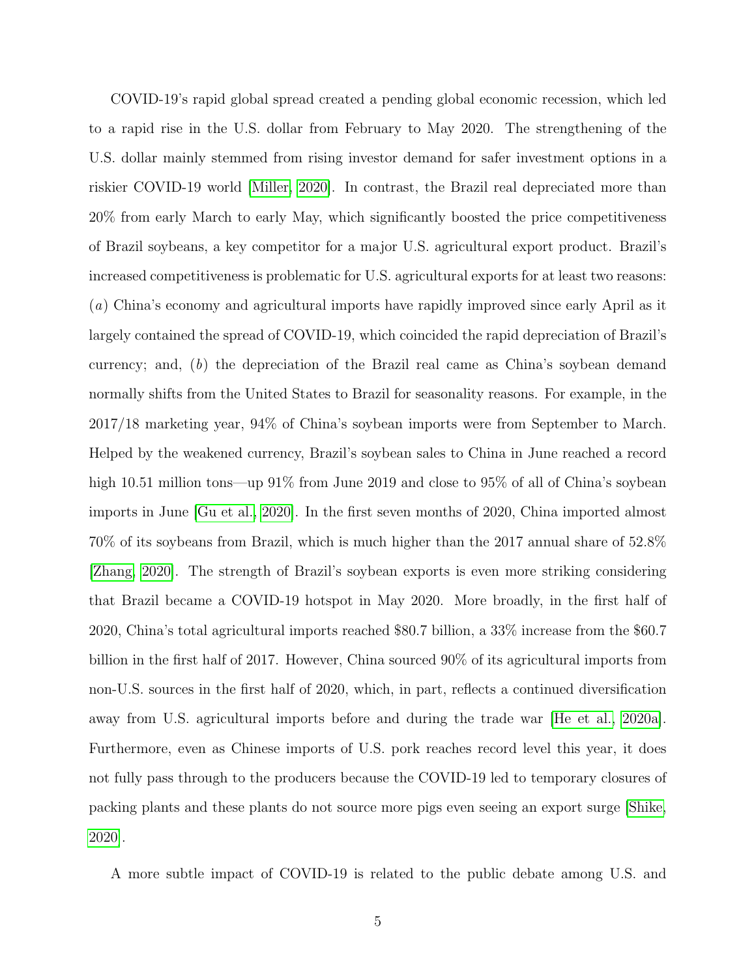COVID-19's rapid global spread created a pending global economic recession, which led to a rapid rise in the U.S. dollar from February to May 2020. The strengthening of the U.S. dollar mainly stemmed from rising investor demand for safer investment options in a riskier COVID-19 world [\[Miller, 2020\]](#page-26-3). In contrast, the Brazil real depreciated more than 20% from early March to early May, which significantly boosted the price competitiveness of Brazil soybeans, a key competitor for a major U.S. agricultural export product. Brazil's increased competitiveness is problematic for U.S. agricultural exports for at least two reasons: (a) China's economy and agricultural imports have rapidly improved since early April as it largely contained the spread of COVID-19, which coincided the rapid depreciation of Brazil's currency; and, (b) the depreciation of the Brazil real came as China's soybean demand normally shifts from the United States to Brazil for seasonality reasons. For example, in the 2017/18 marketing year, 94% of China's soybean imports were from September to March. Helped by the weakened currency, Brazil's soybean sales to China in June reached a record high 10.51 million tons—up  $91\%$  from June 2019 and close to  $95\%$  of all of China's soybean imports in June [\[Gu et al., 2020\]](#page-24-4). In the first seven months of 2020, China imported almost 70% of its soybeans from Brazil, which is much higher than the 2017 annual share of 52.8% [\[Zhang, 2020\]](#page-28-0). The strength of Brazil's soybean exports is even more striking considering that Brazil became a COVID-19 hotspot in May 2020. More broadly, in the first half of 2020, China's total agricultural imports reached \$80.7 billion, a 33% increase from the \$60.7 billion in the first half of 2017. However, China sourced 90% of its agricultural imports from non-U.S. sources in the first half of 2020, which, in part, reflects a continued diversification away from U.S. agricultural imports before and during the trade war [\[He et al., 2020a\]](#page-25-3). Furthermore, even as Chinese imports of U.S. pork reaches record level this year, it does not fully pass through to the producers because the COVID-19 led to temporary closures of packing plants and these plants do not source more pigs even seeing an export surge [\[Shike,](#page-27-3) [2020\]](#page-27-3).

A more subtle impact of COVID-19 is related to the public debate among U.S. and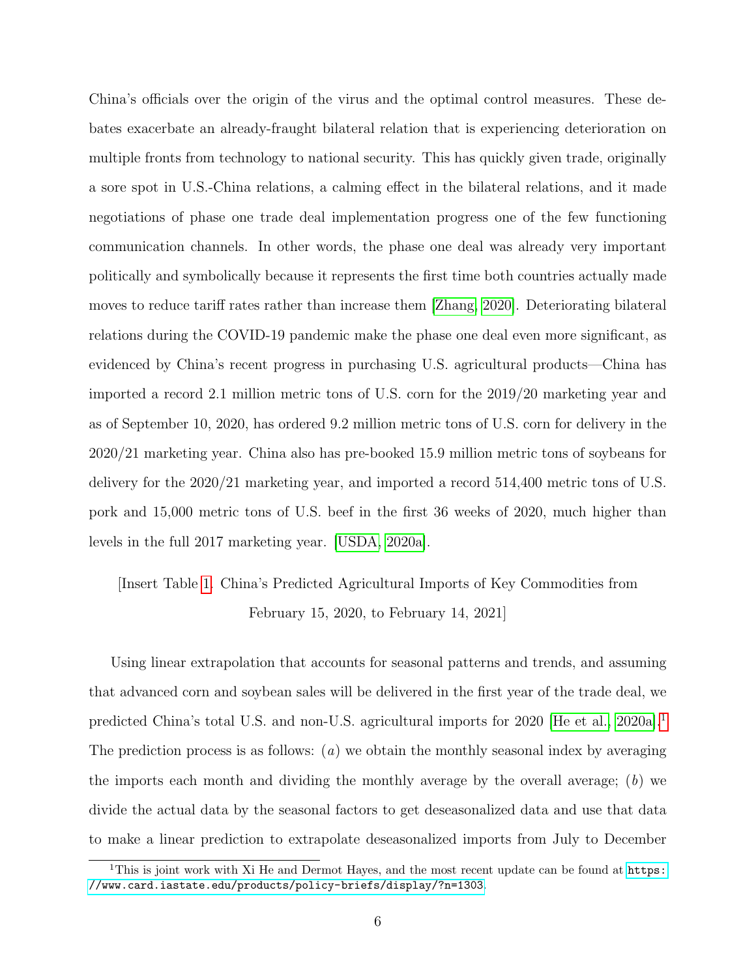China's officials over the origin of the virus and the optimal control measures. These debates exacerbate an already-fraught bilateral relation that is experiencing deterioration on multiple fronts from technology to national security. This has quickly given trade, originally a sore spot in U.S.-China relations, a calming effect in the bilateral relations, and it made negotiations of phase one trade deal implementation progress one of the few functioning communication channels. In other words, the phase one deal was already very important politically and symbolically because it represents the first time both countries actually made moves to reduce tariff rates rather than increase them [\[Zhang, 2020\]](#page-28-0). Deteriorating bilateral relations during the COVID-19 pandemic make the phase one deal even more significant, as evidenced by China's recent progress in purchasing U.S. agricultural products—China has imported a record 2.1 million metric tons of U.S. corn for the 2019/20 marketing year and as of September 10, 2020, has ordered 9.2 million metric tons of U.S. corn for delivery in the 2020/21 marketing year. China also has pre-booked 15.9 million metric tons of soybeans for delivery for the 2020/21 marketing year, and imported a record 514,400 metric tons of U.S. pork and 15,000 metric tons of U.S. beef in the first 36 weeks of 2020, much higher than levels in the full 2017 marketing year. [\[USDA, 2020a\]](#page-27-4).

### [Insert Table [1.](#page-30-0) China's Predicted Agricultural Imports of Key Commodities from February 15, 2020, to February 14, 2021]

Using linear extrapolation that accounts for seasonal patterns and trends, and assuming that advanced corn and soybean sales will be delivered in the first year of the trade deal, we predicted China's total U.S. and non-U.S. agricultural imports for 2020 [\[He et al., 2020a\]](#page-25-3).<sup>[1](#page-2-0)</sup> The prediction process is as follows:  $(a)$  we obtain the monthly seasonal index by averaging the imports each month and dividing the monthly average by the overall average;  $(b)$  we divide the actual data by the seasonal factors to get deseasonalized data and use that data to make a linear prediction to extrapolate deseasonalized imports from July to December

<sup>&</sup>lt;sup>1</sup>This is joint work with Xi He and Dermot Hayes, and the most recent update can be found at  $https:$ [//www.card.iastate.edu/products/policy-briefs/display/?n=1303](https://www.card.iastate.edu/products/policy-briefs/display/?n=1303).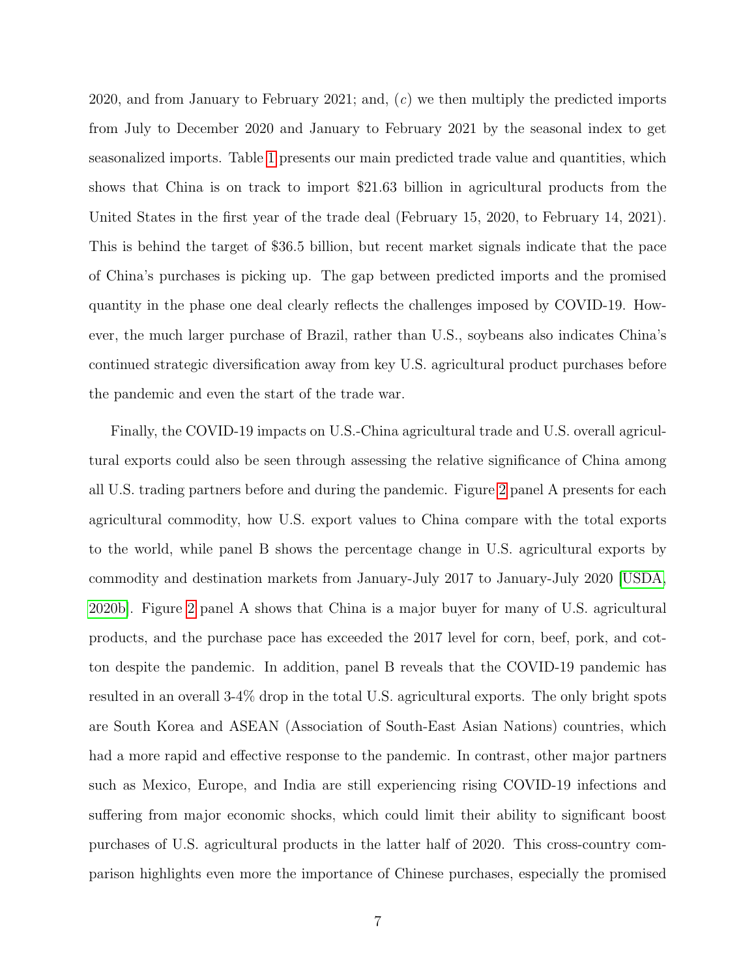2020, and from January to February 2021; and, (c) we then multiply the predicted imports from July to December 2020 and January to February 2021 by the seasonal index to get seasonalized imports. Table [1](#page-30-0) presents our main predicted trade value and quantities, which shows that China is on track to import \$21.63 billion in agricultural products from the United States in the first year of the trade deal (February 15, 2020, to February 14, 2021). This is behind the target of \$36.5 billion, but recent market signals indicate that the pace of China's purchases is picking up. The gap between predicted imports and the promised quantity in the phase one deal clearly reflects the challenges imposed by COVID-19. However, the much larger purchase of Brazil, rather than U.S., soybeans also indicates China's continued strategic diversification away from key U.S. agricultural product purchases before the pandemic and even the start of the trade war.

Finally, the COVID-19 impacts on U.S.-China agricultural trade and U.S. overall agricultural exports could also be seen through assessing the relative significance of China among all U.S. trading partners before and during the pandemic. Figure [2](#page-31-0) panel A presents for each agricultural commodity, how U.S. export values to China compare with the total exports to the world, while panel B shows the percentage change in U.S. agricultural exports by commodity and destination markets from January-July 2017 to January-July 2020 [\[USDA,](#page-27-5) [2020b\]](#page-27-5). Figure [2](#page-31-0) panel A shows that China is a major buyer for many of U.S. agricultural products, and the purchase pace has exceeded the 2017 level for corn, beef, pork, and cotton despite the pandemic. In addition, panel B reveals that the COVID-19 pandemic has resulted in an overall 3-4% drop in the total U.S. agricultural exports. The only bright spots are South Korea and ASEAN (Association of South-East Asian Nations) countries, which had a more rapid and effective response to the pandemic. In contrast, other major partners such as Mexico, Europe, and India are still experiencing rising COVID-19 infections and suffering from major economic shocks, which could limit their ability to significant boost purchases of U.S. agricultural products in the latter half of 2020. This cross-country comparison highlights even more the importance of Chinese purchases, especially the promised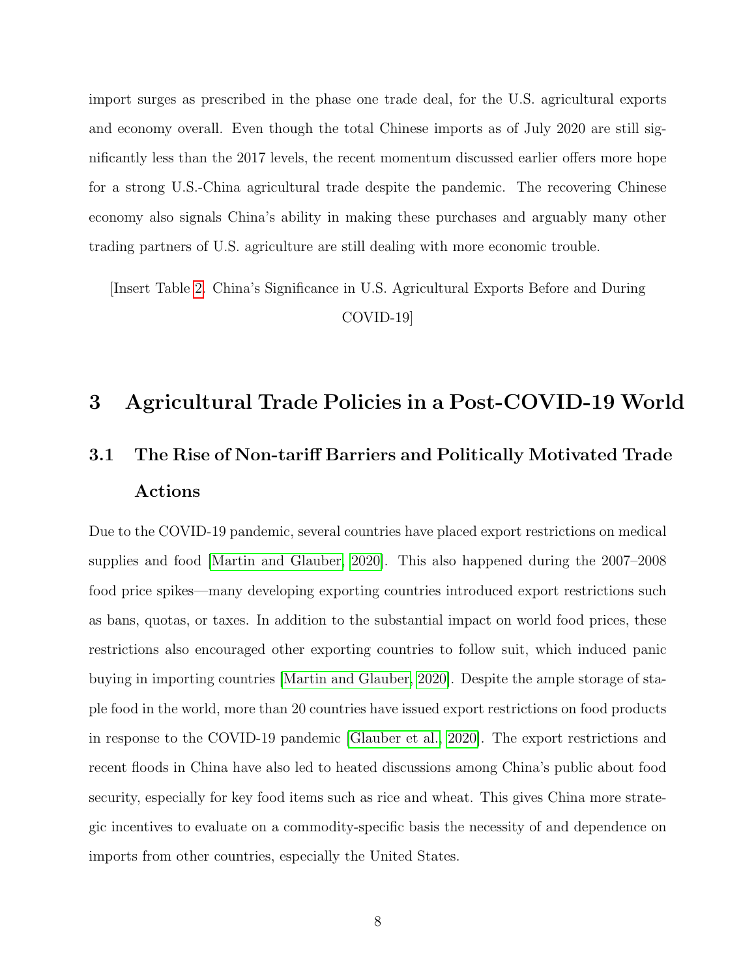import surges as prescribed in the phase one trade deal, for the U.S. agricultural exports and economy overall. Even though the total Chinese imports as of July 2020 are still significantly less than the 2017 levels, the recent momentum discussed earlier offers more hope for a strong U.S.-China agricultural trade despite the pandemic. The recovering Chinese economy also signals China's ability in making these purchases and arguably many other trading partners of U.S. agriculture are still dealing with more economic trouble.

[Insert Table [2.](#page-31-0) China's Significance in U.S. Agricultural Exports Before and During COVID-19]

### <span id="page-10-0"></span>3 Agricultural Trade Policies in a Post-COVID-19 World

## 3.1 The Rise of Non-tariff Barriers and Politically Motivated Trade Actions

Due to the COVID-19 pandemic, several countries have placed export restrictions on medical supplies and food [\[Martin and Glauber, 2020\]](#page-26-1). This also happened during the 2007–2008 food price spikes—many developing exporting countries introduced export restrictions such as bans, quotas, or taxes. In addition to the substantial impact on world food prices, these restrictions also encouraged other exporting countries to follow suit, which induced panic buying in importing countries [\[Martin and Glauber, 2020\]](#page-26-1). Despite the ample storage of staple food in the world, more than 20 countries have issued export restrictions on food products in response to the COVID-19 pandemic [\[Glauber et al., 2020\]](#page-24-5). The export restrictions and recent floods in China have also led to heated discussions among China's public about food security, especially for key food items such as rice and wheat. This gives China more strategic incentives to evaluate on a commodity-specific basis the necessity of and dependence on imports from other countries, especially the United States.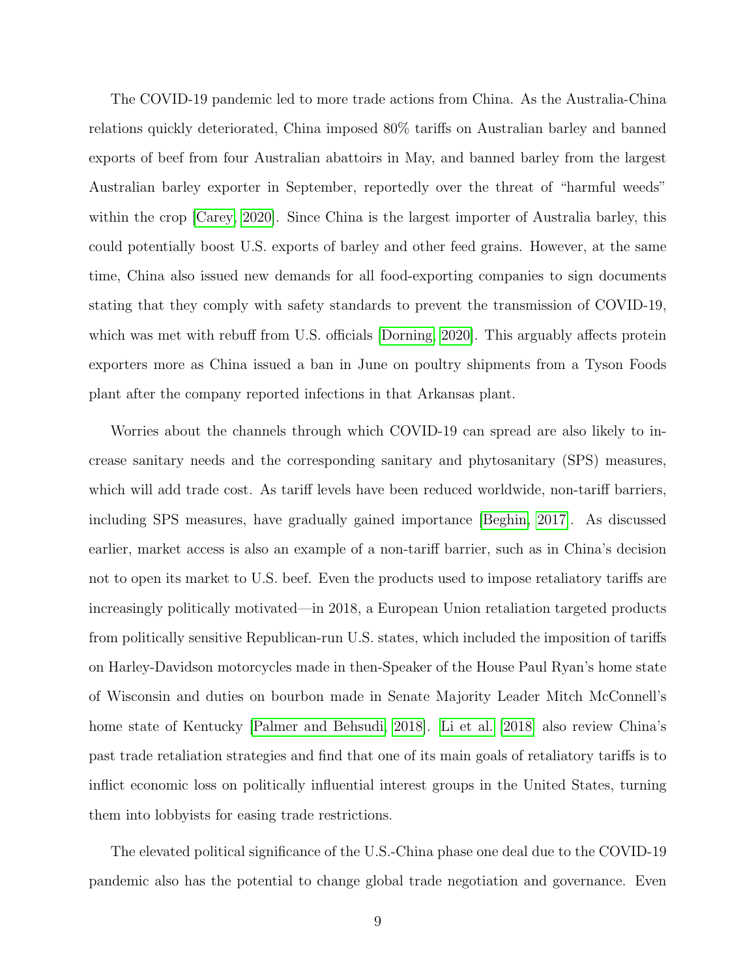The COVID-19 pandemic led to more trade actions from China. As the Australia-China relations quickly deteriorated, China imposed 80% tariffs on Australian barley and banned exports of beef from four Australian abattoirs in May, and banned barley from the largest Australian barley exporter in September, reportedly over the threat of "harmful weeds" within the crop [\[Carey, 2020\]](#page-23-2). Since China is the largest importer of Australia barley, this could potentially boost U.S. exports of barley and other feed grains. However, at the same time, China also issued new demands for all food-exporting companies to sign documents stating that they comply with safety standards to prevent the transmission of COVID-19, which was met with rebuff from U.S. officials Dorning, 2020. This arguably affects protein exporters more as China issued a ban in June on poultry shipments from a Tyson Foods plant after the company reported infections in that Arkansas plant.

Worries about the channels through which COVID-19 can spread are also likely to increase sanitary needs and the corresponding sanitary and phytosanitary (SPS) measures, which will add trade cost. As tariff levels have been reduced worldwide, non-tariff barriers, including SPS measures, have gradually gained importance [\[Beghin, 2017\]](#page-23-3). As discussed earlier, market access is also an example of a non-tariff barrier, such as in China's decision not to open its market to U.S. beef. Even the products used to impose retaliatory tariffs are increasingly politically motivated—in 2018, a European Union retaliation targeted products from politically sensitive Republican-run U.S. states, which included the imposition of tariffs on Harley-Davidson motorcycles made in then-Speaker of the House Paul Ryan's home state of Wisconsin and duties on bourbon made in Senate Majority Leader Mitch McConnell's home state of Kentucky [\[Palmer and Behsudi, 2018\]](#page-26-4). [Li et al.](#page-25-6) [\[2018\]](#page-25-6) also review China's past trade retaliation strategies and find that one of its main goals of retaliatory tariffs is to inflict economic loss on politically influential interest groups in the United States, turning them into lobbyists for easing trade restrictions.

The elevated political significance of the U.S.-China phase one deal due to the COVID-19 pandemic also has the potential to change global trade negotiation and governance. Even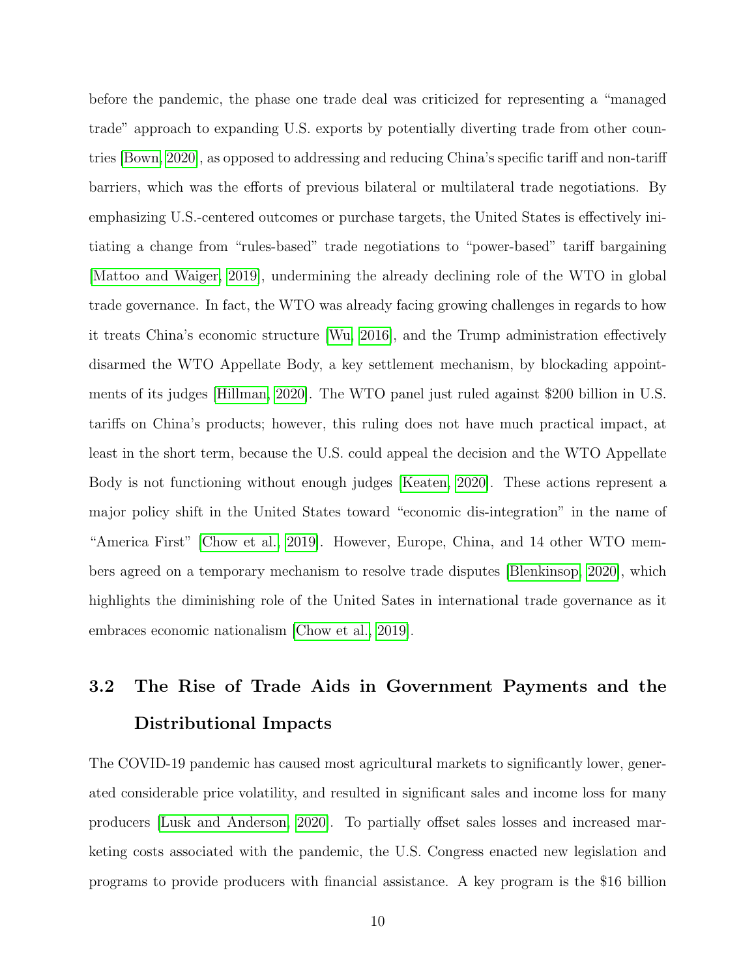before the pandemic, the phase one trade deal was criticized for representing a "managed trade" approach to expanding U.S. exports by potentially diverting trade from other countries [\[Bown, 2020\]](#page-23-0), as opposed to addressing and reducing China's specific tariff and non-tariff barriers, which was the efforts of previous bilateral or multilateral trade negotiations. By emphasizing U.S.-centered outcomes or purchase targets, the United States is effectively initiating a change from "rules-based" trade negotiations to "power-based" tariff bargaining [\[Mattoo and Waiger, 2019\]](#page-26-5), undermining the already declining role of the WTO in global trade governance. In fact, the WTO was already facing growing challenges in regards to how it treats China's economic structure [\[Wu, 2016\]](#page-27-2), and the Trump administration effectively disarmed the WTO Appellate Body, a key settlement mechanism, by blockading appointments of its judges [\[Hillman, 2020\]](#page-25-7). The WTO panel just ruled against \$200 billion in U.S. tariffs on China's products; however, this ruling does not have much practical impact, at least in the short term, because the U.S. could appeal the decision and the WTO Appellate Body is not functioning without enough judges [\[Keaten, 2020\]](#page-25-8). These actions represent a major policy shift in the United States toward "economic dis-integration" in the name of "America First" [\[Chow et al., 2019\]](#page-24-2). However, Europe, China, and 14 other WTO members agreed on a temporary mechanism to resolve trade disputes [\[Blenkinsop, 2020\]](#page-23-4), which highlights the diminishing role of the United Sates in international trade governance as it embraces economic nationalism [\[Chow et al., 2019\]](#page-24-2).

## 3.2 The Rise of Trade Aids in Government Payments and the Distributional Impacts

The COVID-19 pandemic has caused most agricultural markets to significantly lower, generated considerable price volatility, and resulted in significant sales and income loss for many producers [\[Lusk and Anderson, 2020\]](#page-25-2). To partially offset sales losses and increased marketing costs associated with the pandemic, the U.S. Congress enacted new legislation and programs to provide producers with financial assistance. A key program is the \$16 billion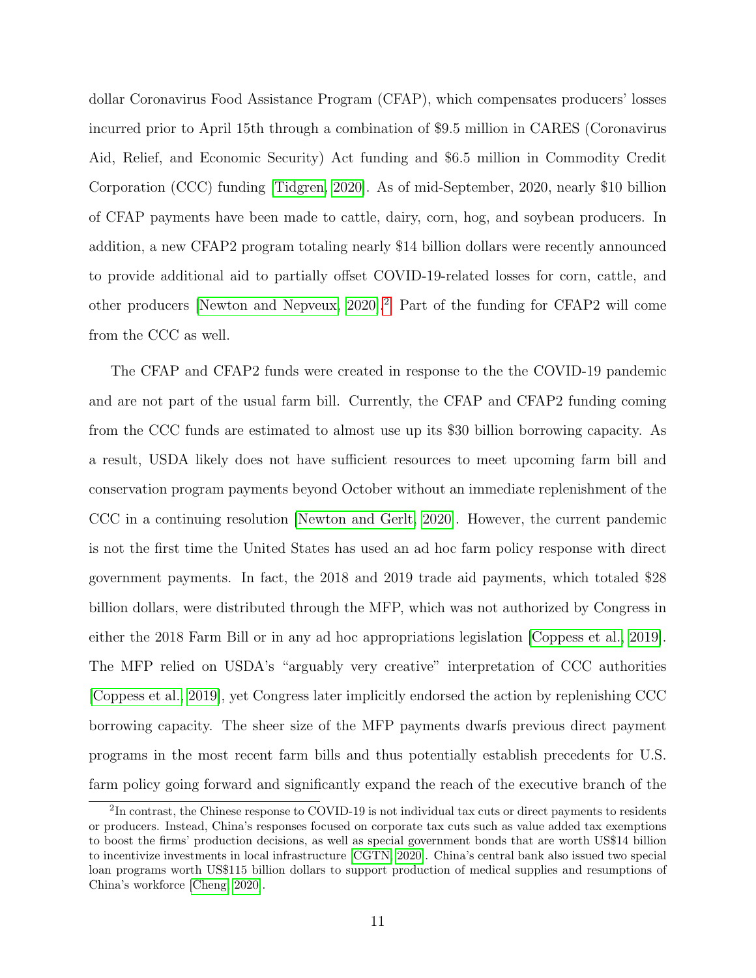dollar Coronavirus Food Assistance Program (CFAP), which compensates producers' losses incurred prior to April 15th through a combination of \$9.5 million in CARES (Coronavirus Aid, Relief, and Economic Security) Act funding and \$6.5 million in Commodity Credit Corporation (CCC) funding [\[Tidgren, 2020\]](#page-27-6). As of mid-September, 2020, nearly \$10 billion of CFAP payments have been made to cattle, dairy, corn, hog, and soybean producers. In addition, a new CFAP2 program totaling nearly \$14 billion dollars were recently announced to provide additional aid to partially offset COVID-19-related losses for corn, cattle, and other producers [\[Newton and Nepveux, 2020\]](#page-26-6).[2](#page-2-0) Part of the funding for CFAP2 will come from the CCC as well.

The CFAP and CFAP2 funds were created in response to the the COVID-19 pandemic and are not part of the usual farm bill. Currently, the CFAP and CFAP2 funding coming from the CCC funds are estimated to almost use up its \$30 billion borrowing capacity. As a result, USDA likely does not have sufficient resources to meet upcoming farm bill and conservation program payments beyond October without an immediate replenishment of the CCC in a continuing resolution [\[Newton and Gerlt, 2020\]](#page-26-7). However, the current pandemic is not the first time the United States has used an ad hoc farm policy response with direct government payments. In fact, the 2018 and 2019 trade aid payments, which totaled \$28 billion dollars, were distributed through the MFP, which was not authorized by Congress in either the 2018 Farm Bill or in any ad hoc appropriations legislation [\[Coppess et al., 2019\]](#page-24-3). The MFP relied on USDA's "arguably very creative" interpretation of CCC authorities [\[Coppess et al., 2019\]](#page-24-3), yet Congress later implicitly endorsed the action by replenishing CCC borrowing capacity. The sheer size of the MFP payments dwarfs previous direct payment programs in the most recent farm bills and thus potentially establish precedents for U.S. farm policy going forward and significantly expand the reach of the executive branch of the

 ${}^{2}\text{In}$  contrast, the Chinese response to COVID-19 is not individual tax cuts or direct payments to residents or producers. Instead, China's responses focused on corporate tax cuts such as value added tax exemptions to boost the firms' production decisions, as well as special government bonds that are worth US\$14 billion to incentivize investments in local infrastructure [\[CGTN, 2020\]](#page-23-5). China's central bank also issued two special loan programs worth US\$115 billion dollars to support production of medical supplies and resumptions of China's workforce [\[Cheng, 2020\]](#page-23-6).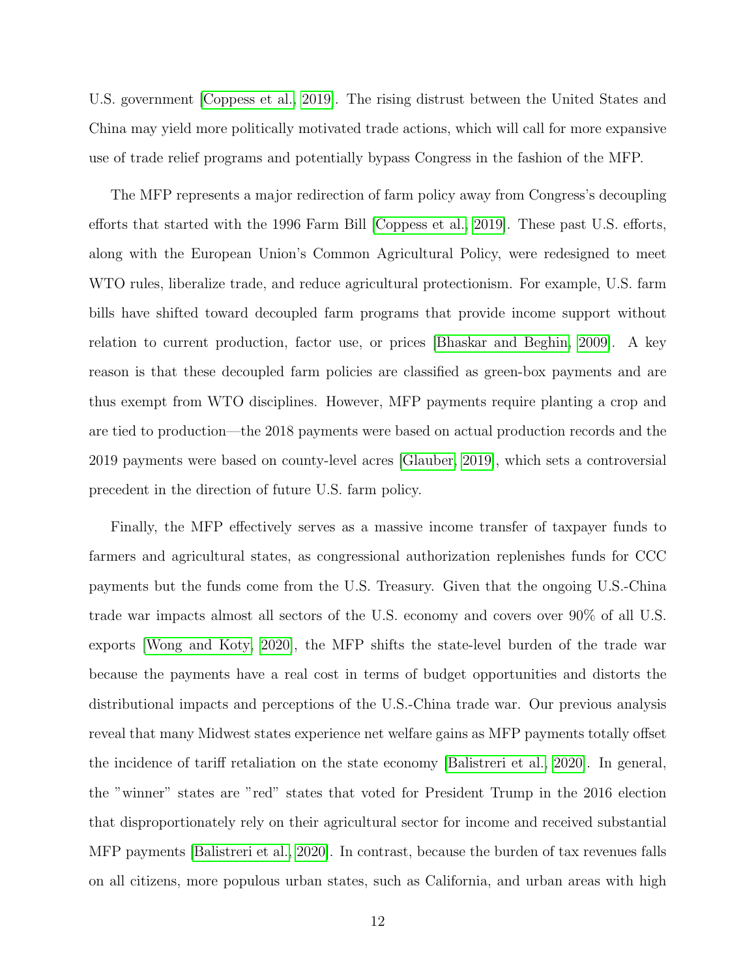U.S. government [\[Coppess et al., 2019\]](#page-24-3). The rising distrust between the United States and China may yield more politically motivated trade actions, which will call for more expansive use of trade relief programs and potentially bypass Congress in the fashion of the MFP.

The MFP represents a major redirection of farm policy away from Congress's decoupling efforts that started with the 1996 Farm Bill [\[Coppess et al., 2019\]](#page-24-3). These past U.S. efforts, along with the European Union's Common Agricultural Policy, were redesigned to meet WTO rules, liberalize trade, and reduce agricultural protectionism. For example, U.S. farm bills have shifted toward decoupled farm programs that provide income support without relation to current production, factor use, or prices [\[Bhaskar and Beghin, 2009\]](#page-23-7). A key reason is that these decoupled farm policies are classified as green-box payments and are thus exempt from WTO disciplines. However, MFP payments require planting a crop and are tied to production—the 2018 payments were based on actual production records and the 2019 payments were based on county-level acres [\[Glauber, 2019\]](#page-24-7), which sets a controversial precedent in the direction of future U.S. farm policy.

Finally, the MFP effectively serves as a massive income transfer of taxpayer funds to farmers and agricultural states, as congressional authorization replenishes funds for CCC payments but the funds come from the U.S. Treasury. Given that the ongoing U.S.-China trade war impacts almost all sectors of the U.S. economy and covers over 90% of all U.S. exports [\[Wong and Koty, 2020\]](#page-27-7), the MFP shifts the state-level burden of the trade war because the payments have a real cost in terms of budget opportunities and distorts the distributional impacts and perceptions of the U.S.-China trade war. Our previous analysis reveal that many Midwest states experience net welfare gains as MFP payments totally offset the incidence of tariff retaliation on the state economy [\[Balistreri et al., 2020\]](#page-23-8). In general, the "winner" states are "red" states that voted for President Trump in the 2016 election that disproportionately rely on their agricultural sector for income and received substantial MFP payments [\[Balistreri et al., 2020\]](#page-23-8). In contrast, because the burden of tax revenues falls on all citizens, more populous urban states, such as California, and urban areas with high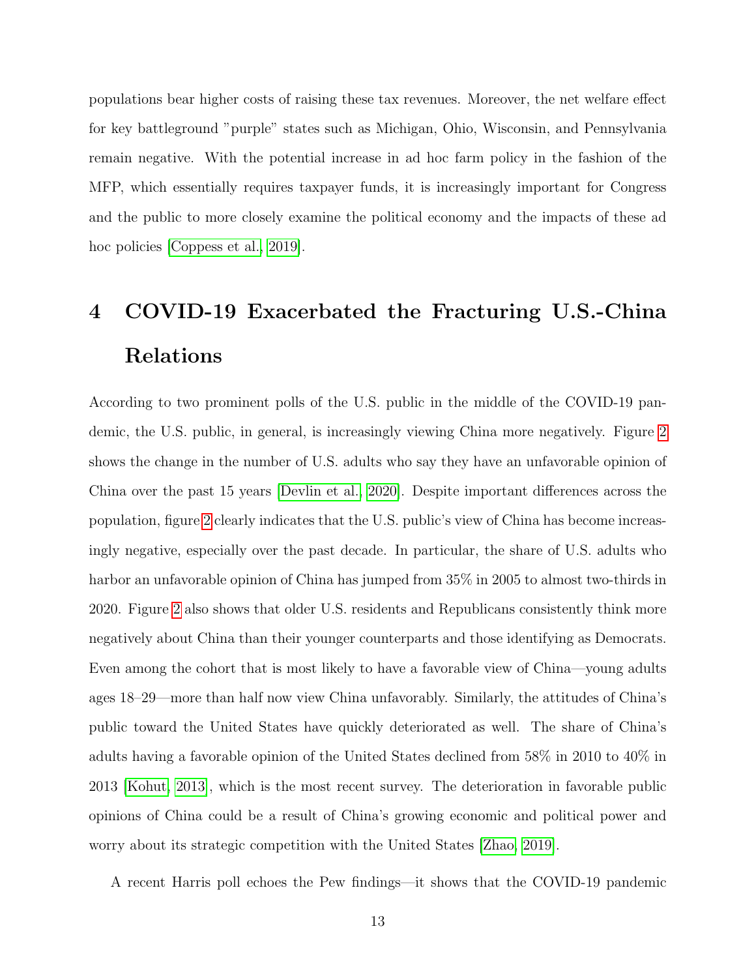populations bear higher costs of raising these tax revenues. Moreover, the net welfare effect for key battleground "purple" states such as Michigan, Ohio, Wisconsin, and Pennsylvania remain negative. With the potential increase in ad hoc farm policy in the fashion of the MFP, which essentially requires taxpayer funds, it is increasingly important for Congress and the public to more closely examine the political economy and the impacts of these ad hoc policies [\[Coppess et al., 2019\]](#page-24-3).

## <span id="page-15-0"></span>4 COVID-19 Exacerbated the Fracturing U.S.-China Relations

According to two prominent polls of the U.S. public in the middle of the COVID-19 pandemic, the U.S. public, in general, is increasingly viewing China more negatively. Figure [2](#page-32-0) shows the change in the number of U.S. adults who say they have an unfavorable opinion of China over the past 15 years [\[Devlin et al., 2020\]](#page-24-1). Despite important differences across the population, figure [2](#page-32-0) clearly indicates that the U.S. public's view of China has become increasingly negative, especially over the past decade. In particular, the share of U.S. adults who harbor an unfavorable opinion of China has jumped from 35% in 2005 to almost two-thirds in 2020. Figure [2](#page-32-0) also shows that older U.S. residents and Republicans consistently think more negatively about China than their younger counterparts and those identifying as Democrats. Even among the cohort that is most likely to have a favorable view of China—young adults ages 18–29—more than half now view China unfavorably. Similarly, the attitudes of China's public toward the United States have quickly deteriorated as well. The share of China's adults having a favorable opinion of the United States declined from 58% in 2010 to 40% in 2013 [\[Kohut, 2013\]](#page-25-9), which is the most recent survey. The deterioration in favorable public opinions of China could be a result of China's growing economic and political power and worry about its strategic competition with the United States [\[Zhao, 2019\]](#page-28-3).

A recent Harris poll echoes the Pew findings—it shows that the COVID-19 pandemic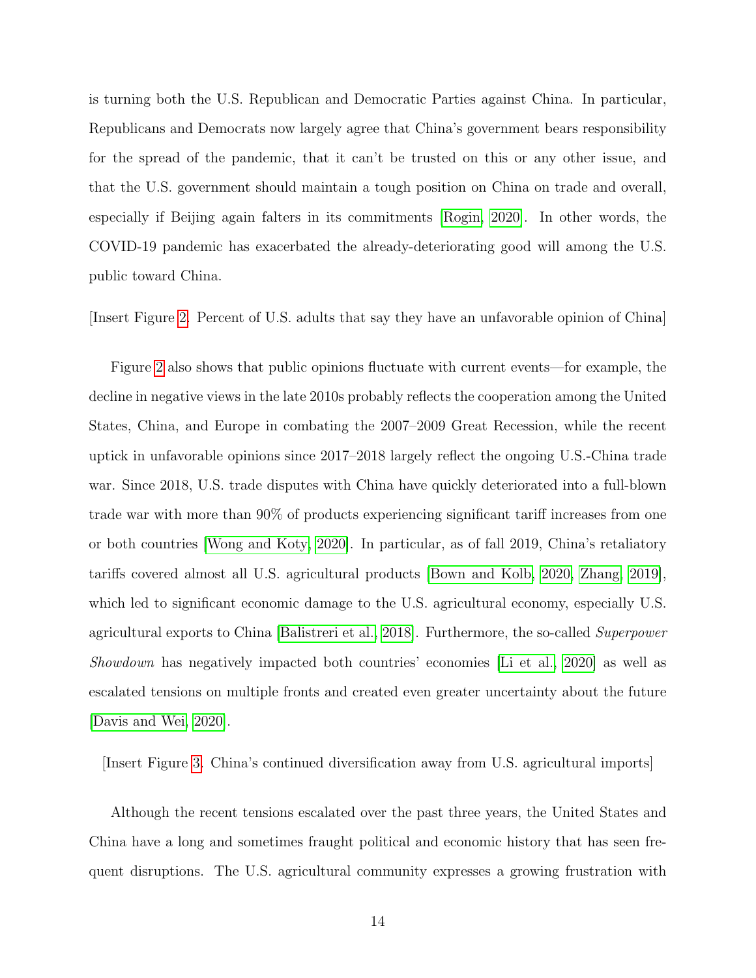is turning both the U.S. Republican and Democratic Parties against China. In particular, Republicans and Democrats now largely agree that China's government bears responsibility for the spread of the pandemic, that it can't be trusted on this or any other issue, and that the U.S. government should maintain a tough position on China on trade and overall, especially if Beijing again falters in its commitments [\[Rogin, 2020\]](#page-27-8). In other words, the COVID-19 pandemic has exacerbated the already-deteriorating good will among the U.S. public toward China.

[Insert Figure [2.](#page-32-0) Percent of U.S. adults that say they have an unfavorable opinion of China]

Figure [2](#page-32-0) also shows that public opinions fluctuate with current events—for example, the decline in negative views in the late 2010s probably reflects the cooperation among the United States, China, and Europe in combating the 2007–2009 Great Recession, while the recent uptick in unfavorable opinions since 2017–2018 largely reflect the ongoing U.S.-China trade war. Since 2018, U.S. trade disputes with China have quickly deteriorated into a full-blown trade war with more than 90% of products experiencing significant tariff increases from one or both countries [\[Wong and Koty, 2020\]](#page-27-7). In particular, as of fall 2019, China's retaliatory tariffs covered almost all U.S. agricultural products [\[Bown and Kolb, 2020,](#page-23-9) [Zhang, 2019\]](#page-28-2), which led to significant economic damage to the U.S. agricultural economy, especially U.S. agricultural exports to China [\[Balistreri et al., 2018\]](#page-23-10). Furthermore, the so-called Superpower Showdown has negatively impacted both countries' economies [\[Li et al., 2020\]](#page-25-10) as well as escalated tensions on multiple fronts and created even greater uncertainty about the future [\[Davis and Wei, 2020\]](#page-24-8).

[Insert Figure [3.](#page-33-0) China's continued diversification away from U.S. agricultural imports]

Although the recent tensions escalated over the past three years, the United States and China have a long and sometimes fraught political and economic history that has seen frequent disruptions. The U.S. agricultural community expresses a growing frustration with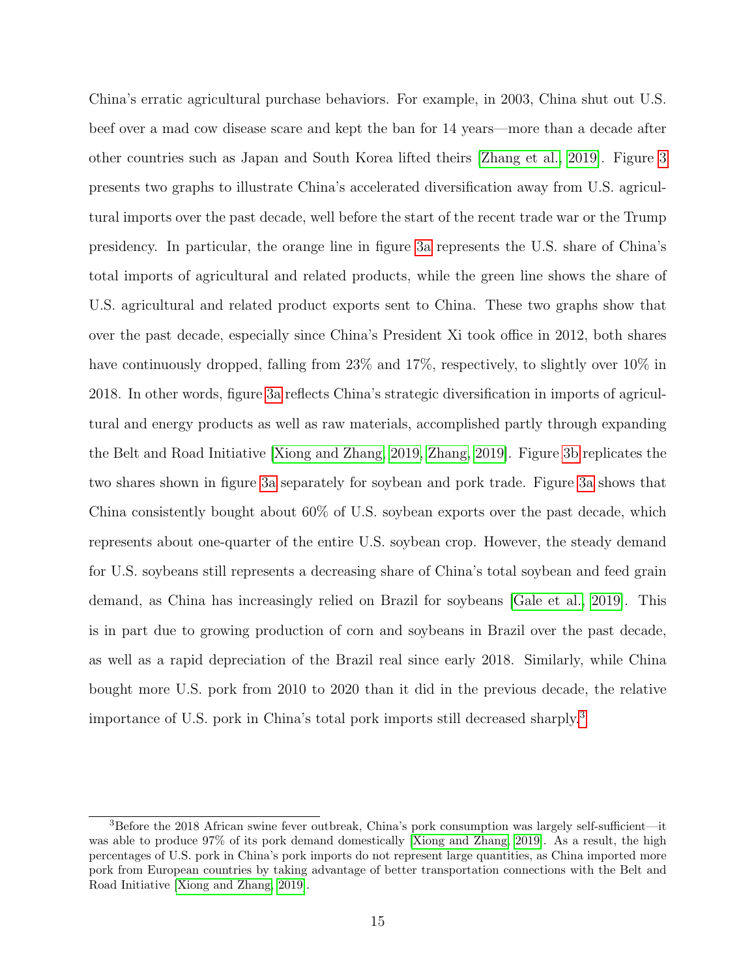China's erratic agricultural purchase behaviors. For example, in 2003, China shut out U.S. beef over a mad cow disease scare and kept the ban for 14 years—more than a decade after other countries such as Japan and South Korea lifted theirs [\[Zhang et al., 2019\]](#page-28-4). Figure [3](#page-33-0) presents two graphs to illustrate China's accelerated diversification away from U.S. agricultural imports over the past decade, well before the start of the recent trade war or the Trump presidency. In particular, the orange line in figure [3a](#page-33-0) represents the U.S. share of China's total imports of agricultural and related products, while the green line shows the share of U.S. agricultural and related product exports sent to China. These two graphs show that over the past decade, especially since China's President Xi took office in 2012, both shares have continuously dropped, falling from 23% and 17%, respectively, to slightly over 10% in 2018. In other words, figure [3a](#page-33-0) reflects China's strategic diversification in imports of agricultural and energy products as well as raw materials, accomplished partly through expanding the Belt and Road Initiative [\[Xiong and Zhang, 2019,](#page-27-9) [Zhang, 2019\]](#page-28-2). Figure [3b](#page-33-0) replicates the two shares shown in figure [3a](#page-33-0) separately for soybean and pork trade. Figure [3a](#page-33-0) shows that China consistently bought about 60% of U.S. soybean exports over the past decade, which represents about one-quarter of the entire U.S. soybean crop. However, the steady demand for U.S. soybeans still represents a decreasing share of China's total soybean and feed grain demand, as China has increasingly relied on Brazil for soybeans [\[Gale et al., 2019\]](#page-24-9). This is in part due to growing production of corn and soybeans in Brazil over the past decade, as well as a rapid depreciation of the Brazil real since early 2018. Similarly, while China bought more U.S. pork from 2010 to 2020 than it did in the previous decade, the relative importance of U.S. pork in China's total pork imports still decreased sharply.[3](#page-2-0)

<sup>3</sup>Before the 2018 African swine fever outbreak, China's pork consumption was largely self-sufficient—it was able to produce 97% of its pork demand domestically [\[Xiong and Zhang, 2019\]](#page-27-9). As a result, the high percentages of U.S. pork in China's pork imports do not represent large quantities, as China imported more pork from European countries by taking advantage of better transportation connections with the Belt and Road Initiative [\[Xiong and Zhang, 2019\]](#page-27-9).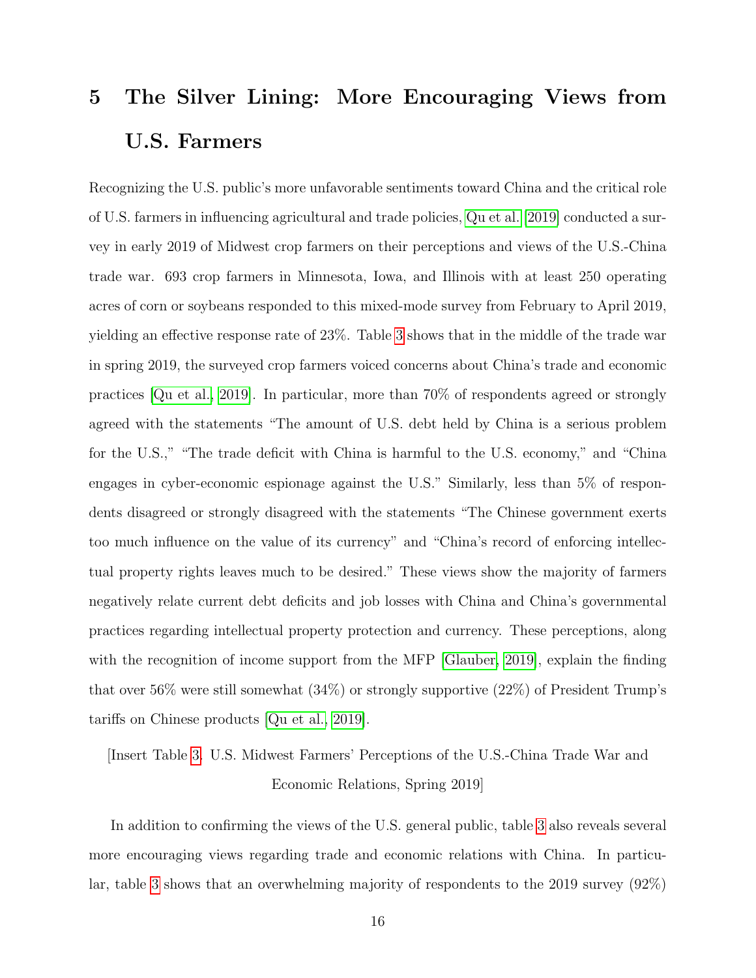# <span id="page-18-0"></span>5 The Silver Lining: More Encouraging Views from U.S. Farmers

Recognizing the U.S. public's more unfavorable sentiments toward China and the critical role of U.S. farmers in influencing agricultural and trade policies, [Qu et al.](#page-26-8) [\[2019\]](#page-26-8) conducted a survey in early 2019 of Midwest crop farmers on their perceptions and views of the U.S.-China trade war. 693 crop farmers in Minnesota, Iowa, and Illinois with at least 250 operating acres of corn or soybeans responded to this mixed-mode survey from February to April 2019, yielding an effective response rate of 23%. Table [3](#page-34-0) shows that in the middle of the trade war in spring 2019, the surveyed crop farmers voiced concerns about China's trade and economic practices [\[Qu et al., 2019\]](#page-26-8). In particular, more than 70% of respondents agreed or strongly agreed with the statements "The amount of U.S. debt held by China is a serious problem for the U.S.," "The trade deficit with China is harmful to the U.S. economy," and "China engages in cyber-economic espionage against the U.S." Similarly, less than 5% of respondents disagreed or strongly disagreed with the statements "The Chinese government exerts too much influence on the value of its currency" and "China's record of enforcing intellectual property rights leaves much to be desired." These views show the majority of farmers negatively relate current debt deficits and job losses with China and China's governmental practices regarding intellectual property protection and currency. These perceptions, along with the recognition of income support from the MFP [\[Glauber, 2019\]](#page-24-7), explain the finding that over 56% were still somewhat (34%) or strongly supportive (22%) of President Trump's tariffs on Chinese products [\[Qu et al., 2019\]](#page-26-8).

[Insert Table [3.](#page-34-0) U.S. Midwest Farmers' Perceptions of the U.S.-China Trade War and Economic Relations, Spring 2019]

In addition to confirming the views of the U.S. general public, table [3](#page-34-0) also reveals several more encouraging views regarding trade and economic relations with China. In particular, table [3](#page-34-0) shows that an overwhelming majority of respondents to the 2019 survey (92%)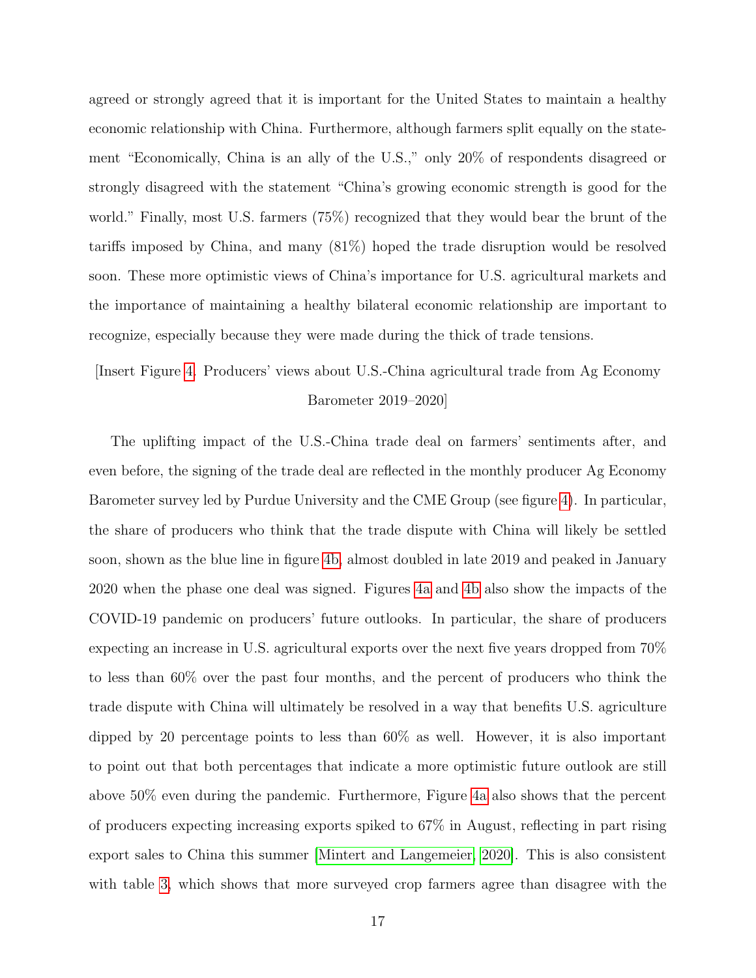agreed or strongly agreed that it is important for the United States to maintain a healthy economic relationship with China. Furthermore, although farmers split equally on the statement "Economically, China is an ally of the U.S.," only 20% of respondents disagreed or strongly disagreed with the statement "China's growing economic strength is good for the world." Finally, most U.S. farmers (75%) recognized that they would bear the brunt of the tariffs imposed by China, and many (81%) hoped the trade disruption would be resolved soon. These more optimistic views of China's importance for U.S. agricultural markets and the importance of maintaining a healthy bilateral economic relationship are important to recognize, especially because they were made during the thick of trade tensions.

### [Insert Figure [4.](#page-35-0) Producers' views about U.S.-China agricultural trade from Ag Economy Barometer 2019–2020]

The uplifting impact of the U.S.-China trade deal on farmers' sentiments after, and even before, the signing of the trade deal are reflected in the monthly producer Ag Economy Barometer survey led by Purdue University and the CME Group (see figure [4\)](#page-35-0). In particular, the share of producers who think that the trade dispute with China will likely be settled soon, shown as the blue line in figure [4b,](#page-35-0) almost doubled in late 2019 and peaked in January 2020 when the phase one deal was signed. Figures [4a](#page-35-0) and [4b](#page-35-0) also show the impacts of the COVID-19 pandemic on producers' future outlooks. In particular, the share of producers expecting an increase in U.S. agricultural exports over the next five years dropped from 70% to less than 60% over the past four months, and the percent of producers who think the trade dispute with China will ultimately be resolved in a way that benefits U.S. agriculture dipped by 20 percentage points to less than 60% as well. However, it is also important to point out that both percentages that indicate a more optimistic future outlook are still above 50% even during the pandemic. Furthermore, Figure [4a](#page-35-0) also shows that the percent of producers expecting increasing exports spiked to 67% in August, reflecting in part rising export sales to China this summer [\[Mintert and Langemeier, 2020\]](#page-26-2). This is also consistent with table [3,](#page-34-0) which shows that more surveyed crop farmers agree than disagree with the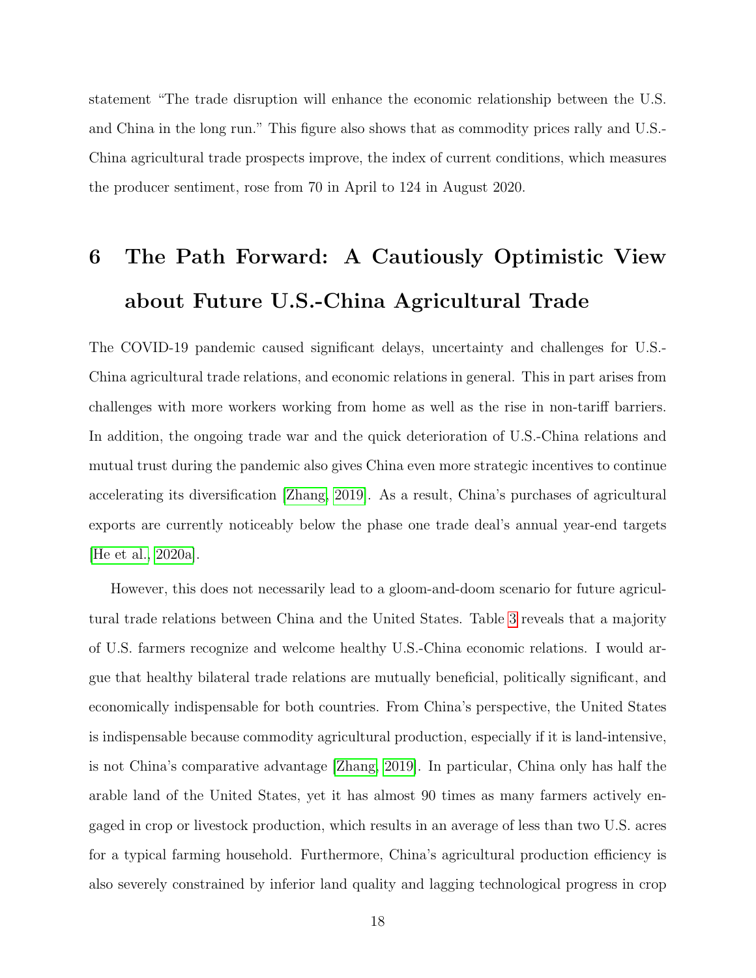statement "The trade disruption will enhance the economic relationship between the U.S. and China in the long run." This figure also shows that as commodity prices rally and U.S.- China agricultural trade prospects improve, the index of current conditions, which measures the producer sentiment, rose from 70 in April to 124 in August 2020.

# <span id="page-20-0"></span>6 The Path Forward: A Cautiously Optimistic View about Future U.S.-China Agricultural Trade

The COVID-19 pandemic caused significant delays, uncertainty and challenges for U.S.- China agricultural trade relations, and economic relations in general. This in part arises from challenges with more workers working from home as well as the rise in non-tariff barriers. In addition, the ongoing trade war and the quick deterioration of U.S.-China relations and mutual trust during the pandemic also gives China even more strategic incentives to continue accelerating its diversification [\[Zhang, 2019\]](#page-28-2). As a result, China's purchases of agricultural exports are currently noticeably below the phase one trade deal's annual year-end targets [\[He et al., 2020a\]](#page-25-3).

However, this does not necessarily lead to a gloom-and-doom scenario for future agricultural trade relations between China and the United States. Table [3](#page-34-0) reveals that a majority of U.S. farmers recognize and welcome healthy U.S.-China economic relations. I would argue that healthy bilateral trade relations are mutually beneficial, politically significant, and economically indispensable for both countries. From China's perspective, the United States is indispensable because commodity agricultural production, especially if it is land-intensive, is not China's comparative advantage [\[Zhang, 2019\]](#page-28-2). In particular, China only has half the arable land of the United States, yet it has almost 90 times as many farmers actively engaged in crop or livestock production, which results in an average of less than two U.S. acres for a typical farming household. Furthermore, China's agricultural production efficiency is also severely constrained by inferior land quality and lagging technological progress in crop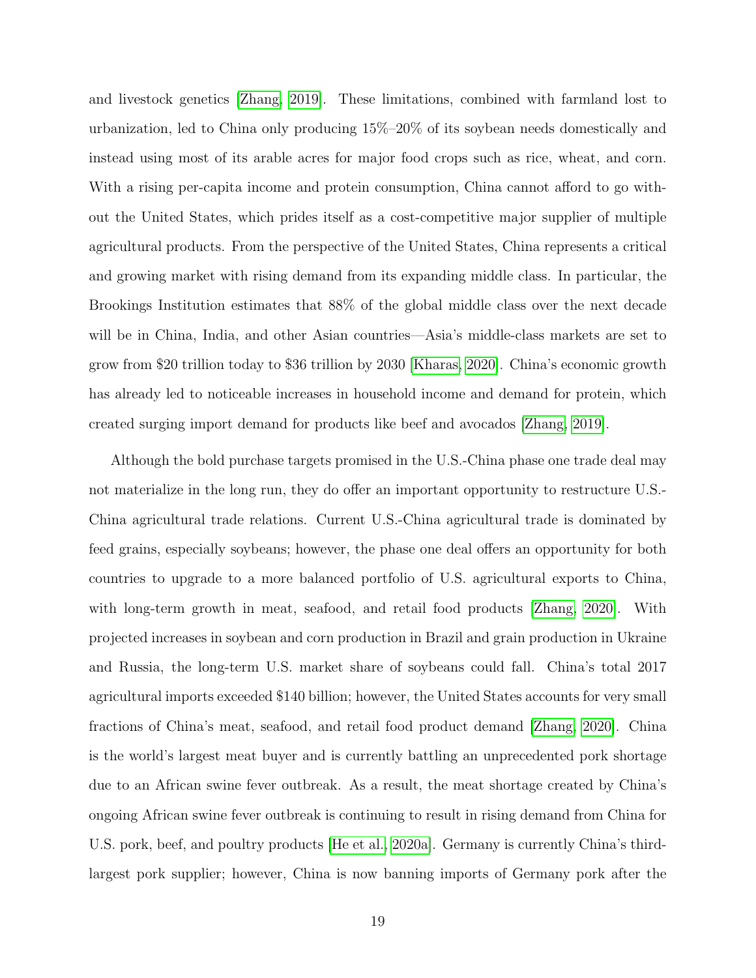and livestock genetics [\[Zhang, 2019\]](#page-28-2). These limitations, combined with farmland lost to urbanization, led to China only producing 15%–20% of its soybean needs domestically and instead using most of its arable acres for major food crops such as rice, wheat, and corn. With a rising per-capita income and protein consumption, China cannot afford to go without the United States, which prides itself as a cost-competitive major supplier of multiple agricultural products. From the perspective of the United States, China represents a critical and growing market with rising demand from its expanding middle class. In particular, the Brookings Institution estimates that 88% of the global middle class over the next decade will be in China, India, and other Asian countries—Asia's middle-class markets are set to grow from \$20 trillion today to \$36 trillion by 2030 [\[Kharas, 2020\]](#page-25-11). China's economic growth has already led to noticeable increases in household income and demand for protein, which created surging import demand for products like beef and avocados [\[Zhang, 2019\]](#page-28-2).

Although the bold purchase targets promised in the U.S.-China phase one trade deal may not materialize in the long run, they do offer an important opportunity to restructure U.S.- China agricultural trade relations. Current U.S.-China agricultural trade is dominated by feed grains, especially soybeans; however, the phase one deal offers an opportunity for both countries to upgrade to a more balanced portfolio of U.S. agricultural exports to China, with long-term growth in meat, seafood, and retail food products [\[Zhang, 2020\]](#page-28-0). With projected increases in soybean and corn production in Brazil and grain production in Ukraine and Russia, the long-term U.S. market share of soybeans could fall. China's total 2017 agricultural imports exceeded \$140 billion; however, the United States accounts for very small fractions of China's meat, seafood, and retail food product demand [\[Zhang, 2020\]](#page-28-0). China is the world's largest meat buyer and is currently battling an unprecedented pork shortage due to an African swine fever outbreak. As a result, the meat shortage created by China's ongoing African swine fever outbreak is continuing to result in rising demand from China for U.S. pork, beef, and poultry products [\[He et al., 2020a\]](#page-25-3). Germany is currently China's thirdlargest pork supplier; however, China is now banning imports of Germany pork after the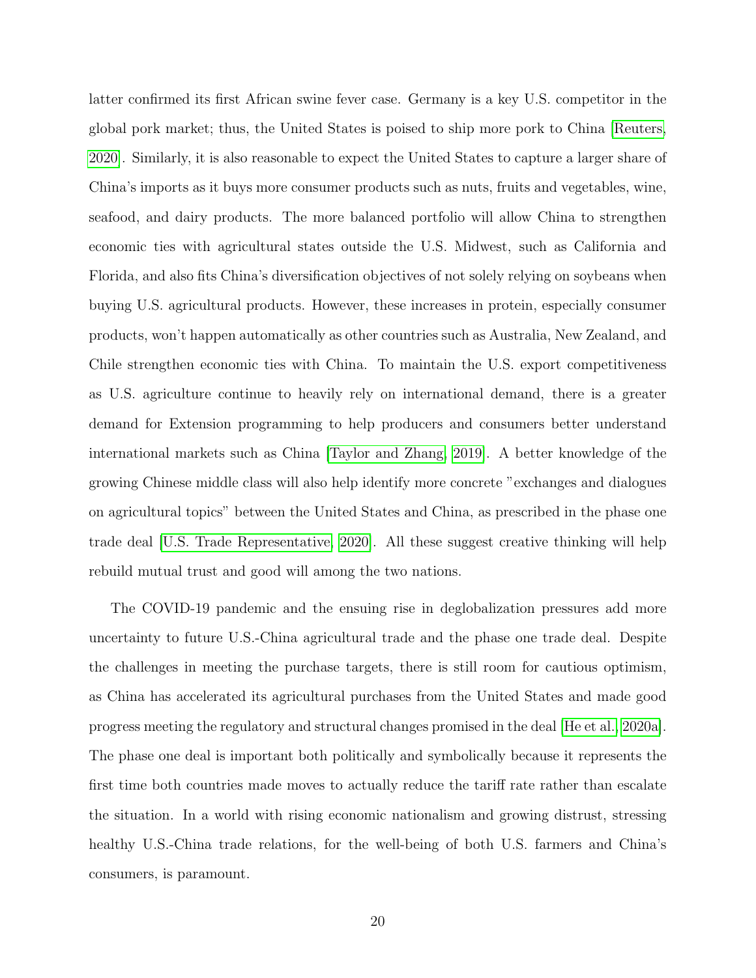latter confirmed its first African swine fever case. Germany is a key U.S. competitor in the global pork market; thus, the United States is poised to ship more pork to China [\[Reuters,](#page-26-9) [2020\]](#page-26-9). Similarly, it is also reasonable to expect the United States to capture a larger share of China's imports as it buys more consumer products such as nuts, fruits and vegetables, wine, seafood, and dairy products. The more balanced portfolio will allow China to strengthen economic ties with agricultural states outside the U.S. Midwest, such as California and Florida, and also fits China's diversification objectives of not solely relying on soybeans when buying U.S. agricultural products. However, these increases in protein, especially consumer products, won't happen automatically as other countries such as Australia, New Zealand, and Chile strengthen economic ties with China. To maintain the U.S. export competitiveness as U.S. agriculture continue to heavily rely on international demand, there is a greater demand for Extension programming to help producers and consumers better understand international markets such as China [\[Taylor and Zhang, 2019\]](#page-27-10). A better knowledge of the growing Chinese middle class will also help identify more concrete "exchanges and dialogues on agricultural topics" between the United States and China, as prescribed in the phase one trade deal [\[U.S. Trade Representative, 2020\]](#page-27-11). All these suggest creative thinking will help rebuild mutual trust and good will among the two nations.

The COVID-19 pandemic and the ensuing rise in deglobalization pressures add more uncertainty to future U.S.-China agricultural trade and the phase one trade deal. Despite the challenges in meeting the purchase targets, there is still room for cautious optimism, as China has accelerated its agricultural purchases from the United States and made good progress meeting the regulatory and structural changes promised in the deal [\[He et al., 2020a\]](#page-25-3). The phase one deal is important both politically and symbolically because it represents the first time both countries made moves to actually reduce the tariff rate rather than escalate the situation. In a world with rising economic nationalism and growing distrust, stressing healthy U.S.-China trade relations, for the well-being of both U.S. farmers and China's consumers, is paramount.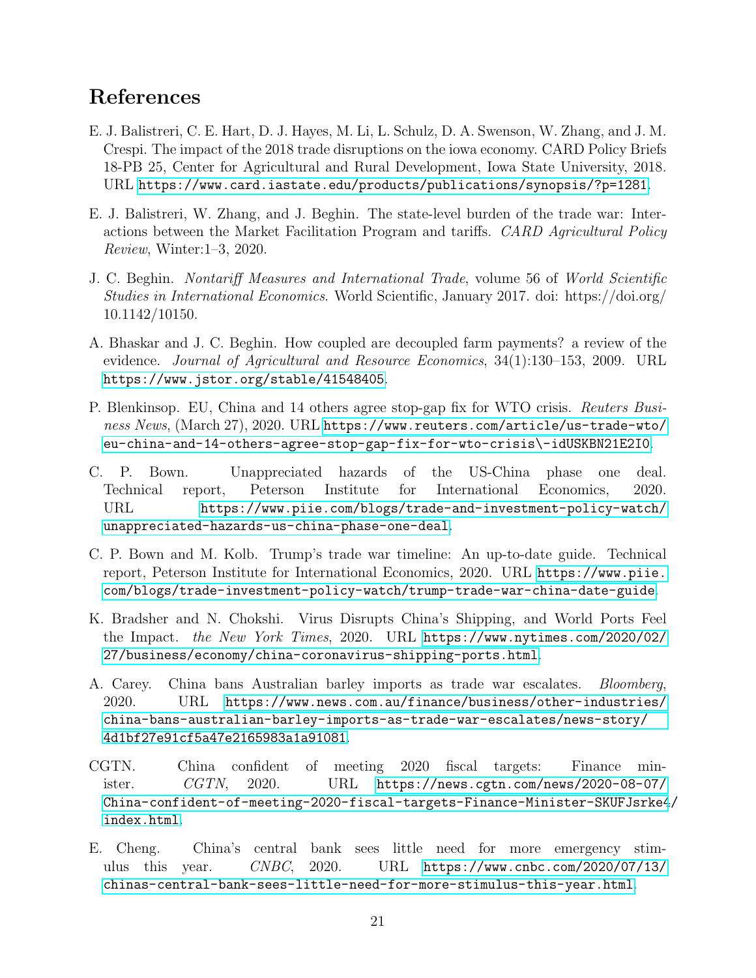#### References

- <span id="page-23-10"></span>E. J. Balistreri, C. E. Hart, D. J. Hayes, M. Li, L. Schulz, D. A. Swenson, W. Zhang, and J. M. Crespi. The impact of the 2018 trade disruptions on the iowa economy. CARD Policy Briefs 18-PB 25, Center for Agricultural and Rural Development, Iowa State University, 2018. URL <https://www.card.iastate.edu/products/publications/synopsis/?p=1281>.
- <span id="page-23-8"></span>E. J. Balistreri, W. Zhang, and J. Beghin. The state-level burden of the trade war: Interactions between the Market Facilitation Program and tariffs. CARD Agricultural Policy Review, Winter:1–3, 2020.
- <span id="page-23-3"></span>J. C. Beghin. Nontariff Measures and International Trade, volume 56 of World Scientific Studies in International Economics. World Scientific, January 2017. doi: https://doi.org/ 10.1142/10150.
- <span id="page-23-7"></span>A. Bhaskar and J. C. Beghin. How coupled are decoupled farm payments? a review of the evidence. Journal of Agricultural and Resource Economics, 34(1):130–153, 2009. URL <https://www.jstor.org/stable/41548405>.
- <span id="page-23-4"></span>P. Blenkinsop. EU, China and 14 others agree stop-gap fix for WTO crisis. Reuters Business News, (March 27), 2020. URL [https://www.reuters.com/article/us-trade-wto/](https://www.reuters.com/article/us-trade-wto/eu-china-and-14-others-agree-stop-gap-fix-for-wto-crisis\-idUSKBN21E2I0) [eu-china-and-14-others-agree-stop-gap-fix-for-wto-crisis\-idUSKBN21E2I0](https://www.reuters.com/article/us-trade-wto/eu-china-and-14-others-agree-stop-gap-fix-for-wto-crisis\-idUSKBN21E2I0).
- <span id="page-23-0"></span>C. P. Bown. Unappreciated hazards of the US-China phase one deal. Technical report, Peterson Institute for International Economics, 2020. URL [https://www.piie.com/blogs/trade-and-investment-policy-watch/](https://www.piie.com/blogs/trade-and-investment-policy-watch/unappreciated-hazards-us-china-phase-one-deal) [unappreciated-hazards-us-china-phase-one-deal](https://www.piie.com/blogs/trade-and-investment-policy-watch/unappreciated-hazards-us-china-phase-one-deal).
- <span id="page-23-9"></span>C. P. Bown and M. Kolb. Trump's trade war timeline: An up-to-date guide. Technical report, Peterson Institute for International Economics, 2020. URL [https://www.piie.](https://www.piie.com/blogs/trade-investment-policy-watch/trump-trade-war-china-date-guide) [com/blogs/trade-investment-policy-watch/trump-trade-war-china-date-guide](https://www.piie.com/blogs/trade-investment-policy-watch/trump-trade-war-china-date-guide).
- <span id="page-23-1"></span>K. Bradsher and N. Chokshi. Virus Disrupts China's Shipping, and World Ports Feel the Impact. the New York Times, 2020. URL [https://www.nytimes.com/2020/02/](https://www.nytimes.com/2020/02/27/business/economy/china-coronavirus-shipping-ports.html) [27/business/economy/china-coronavirus-shipping-ports.html](https://www.nytimes.com/2020/02/27/business/economy/china-coronavirus-shipping-ports.html).
- <span id="page-23-2"></span>A. Carey. China bans Australian barley imports as trade war escalates. Bloomberg, 2020. URL [https://www.news.com.au/finance/business/other-industries/](https://www.news.com.au/finance/business/other-industries/china-bans-australian-barley-imports-as-trade-war-escalates/news-story/4d1bf27e91cf5a47e2165983a1a91081) [china-bans-australian-barley-imports-as-trade-war-escalates/news-story/](https://www.news.com.au/finance/business/other-industries/china-bans-australian-barley-imports-as-trade-war-escalates/news-story/4d1bf27e91cf5a47e2165983a1a91081) [4d1bf27e91cf5a47e2165983a1a91081](https://www.news.com.au/finance/business/other-industries/china-bans-australian-barley-imports-as-trade-war-escalates/news-story/4d1bf27e91cf5a47e2165983a1a91081).
- <span id="page-23-5"></span>CGTN. China confident of meeting 2020 fiscal targets: Finance minister. CGTN, 2020. URL [https://news.cgtn.com/news/2020-08-07/](https://news.cgtn.com/news/2020-08-07/China-confident-of-meeting-2020-fiscal-targets-Finance-Minister-SKUFJsrke4/index.html) [China-confident-of-meeting-2020-fiscal-targets-Finance-Minister-SKUFJsrke4](https://news.cgtn.com/news/2020-08-07/China-confident-of-meeting-2020-fiscal-targets-Finance-Minister-SKUFJsrke4/index.html)/ [index.html](https://news.cgtn.com/news/2020-08-07/China-confident-of-meeting-2020-fiscal-targets-Finance-Minister-SKUFJsrke4/index.html).
- <span id="page-23-6"></span>E. Cheng. China's central bank sees little need for more emergency stimulus this year. CNBC, 2020. URL [https://www.cnbc.com/2020/07/13/](https://www.cnbc.com/2020/07/13/chinas-central-bank-sees-little-need-for-more-stimulus-this-year.html) [chinas-central-bank-sees-little-need-for-more-stimulus-this-year.html](https://www.cnbc.com/2020/07/13/chinas-central-bank-sees-little-need-for-more-stimulus-this-year.html).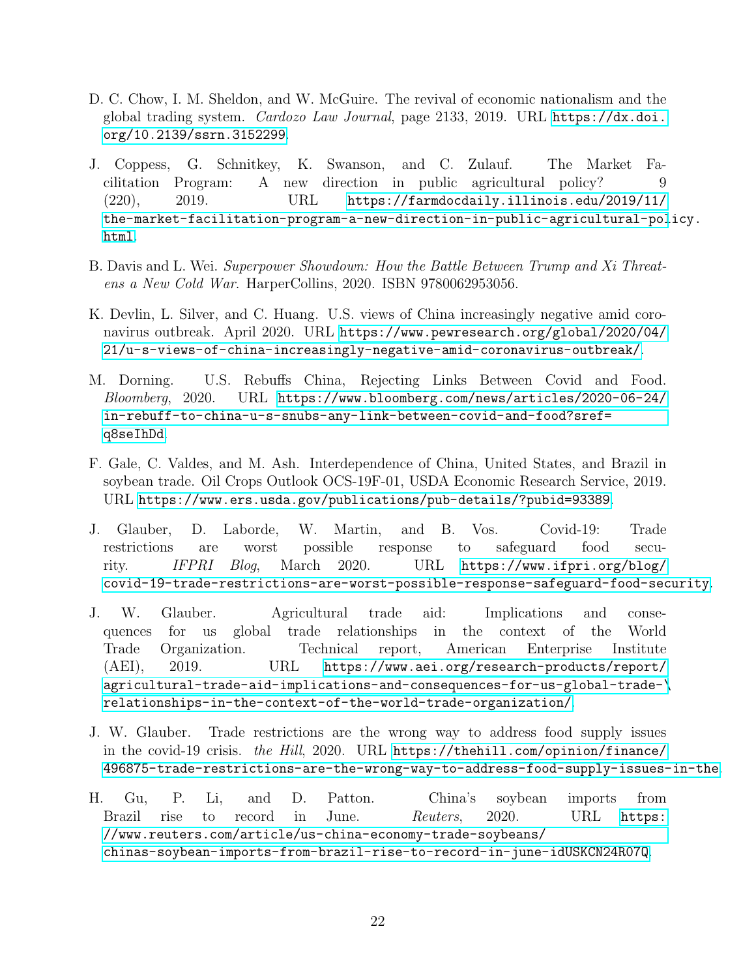- <span id="page-24-2"></span>D. C. Chow, I. M. Sheldon, and W. McGuire. The revival of economic nationalism and the global trading system. Cardozo Law Journal, page 2133, 2019. URL [https://dx.doi.](https://dx.doi.org/10.2139/ssrn.3152299) [org/10.2139/ssrn.3152299](https://dx.doi.org/10.2139/ssrn.3152299).
- <span id="page-24-3"></span>J. Coppess, G. Schnitkey, K. Swanson, and C. Zulauf. The Market Facilitation Program: A new direction in public agricultural policy? 9 (220), 2019. URL [https://farmdocdaily.illinois.edu/2019/11/](https://farmdocdaily.illinois.edu/2019/11/the-market-facilitation-program-a-new-direction-in-public-agricultural-policy.html) [the-market-facilitation-program-a-new-direction-in-public-agricultural-pol](https://farmdocdaily.illinois.edu/2019/11/the-market-facilitation-program-a-new-direction-in-public-agricultural-policy.html)icy. [html](https://farmdocdaily.illinois.edu/2019/11/the-market-facilitation-program-a-new-direction-in-public-agricultural-policy.html).
- <span id="page-24-8"></span>B. Davis and L. Wei. Superpower Showdown: How the Battle Between Trump and Xi Threatens a New Cold War. HarperCollins, 2020. ISBN 9780062953056.
- <span id="page-24-1"></span>K. Devlin, L. Silver, and C. Huang. U.S. views of China increasingly negative amid coronavirus outbreak. April 2020. URL [https://www.pewresearch.org/global/2020/04/](https://www.pewresearch.org/global/2020/04/21/u-s-views-of-china-increasingly-negative-amid-coronavirus-outbreak/) [21/u-s-views-of-china-increasingly-negative-amid-coronavirus-outbreak/](https://www.pewresearch.org/global/2020/04/21/u-s-views-of-china-increasingly-negative-amid-coronavirus-outbreak/).
- <span id="page-24-6"></span>M. Dorning. U.S. Rebuffs China, Rejecting Links Between Covid and Food. Bloomberg, 2020. URL [https://www.bloomberg.com/news/articles/2020-06-24/](https://www.bloomberg.com/news/articles/2020-06-24/in-rebuff-to-china-u-s-snubs-any-link-between-covid-and-food?sref=q8seIhDd) [in-rebuff-to-china-u-s-snubs-any-link-between-covid-and-food?sref=](https://www.bloomberg.com/news/articles/2020-06-24/in-rebuff-to-china-u-s-snubs-any-link-between-covid-and-food?sref=q8seIhDd) [q8seIhDd](https://www.bloomberg.com/news/articles/2020-06-24/in-rebuff-to-china-u-s-snubs-any-link-between-covid-and-food?sref=q8seIhDd).
- <span id="page-24-9"></span>F. Gale, C. Valdes, and M. Ash. Interdependence of China, United States, and Brazil in soybean trade. Oil Crops Outlook OCS-19F-01, USDA Economic Research Service, 2019. URL <https://www.ers.usda.gov/publications/pub-details/?pubid=93389>.
- <span id="page-24-5"></span>J. Glauber, D. Laborde, W. Martin, and B. Vos. Covid-19: Trade restrictions are worst possible response to safeguard food security. IFPRI Blog, March 2020. URL [https://www.ifpri.org/blog/](https://www.ifpri.org/blog/covid-19-trade-restrictions-are-worst-possible-response-safeguard-food-security) [covid-19-trade-restrictions-are-worst-possible-response-safeguard-food-security](https://www.ifpri.org/blog/covid-19-trade-restrictions-are-worst-possible-response-safeguard-food-security).
- <span id="page-24-7"></span>J. W. Glauber. Agricultural trade aid: Implications and consequences for us global trade relationships in the context of the World Trade Organization. Technical report, American Enterprise Institute (AEI), 2019. URL [https://www.aei.org/research-products/report/](https://www.aei.org/research-products/report/agricultural-trade-aid-implications-and-consequences-for-us-global-trade- \ relationships-in-the-context-of-the-world-trade-organization/) [agricultural-trade-aid-implications-and-consequences-for-us-global-trade-\](https://www.aei.org/research-products/report/agricultural-trade-aid-implications-and-consequences-for-us-global-trade- \ relationships-in-the-context-of-the-world-trade-organization/) [relationships-in-the-context-of-the-world-trade-organization/](https://www.aei.org/research-products/report/agricultural-trade-aid-implications-and-consequences-for-us-global-trade- \ relationships-in-the-context-of-the-world-trade-organization/).
- <span id="page-24-0"></span>J. W. Glauber. Trade restrictions are the wrong way to address food supply issues in the covid-19 crisis. the Hill, 2020. URL [https://thehill.com/opinion/finance/](https://thehill.com/opinion/finance/496875-trade-restrictions-are-the-wrong-way-to-address-food-supply-issues-in-the) [496875-trade-restrictions-are-the-wrong-way-to-address-food-supply-issues-in-the](https://thehill.com/opinion/finance/496875-trade-restrictions-are-the-wrong-way-to-address-food-supply-issues-in-the).
- <span id="page-24-4"></span>H. Gu, P. Li, and D. Patton. China's soybean imports from Brazil rise to record in June. Reuters, 2020. URL [https:](https://www.reuters.com/article/us-china-economy-trade-soybeans/chinas-soybean-imports-from-brazil-rise-to-record-in-june-idUSKCN24R07Q) [//www.reuters.com/article/us-china-economy-trade-soybeans/](https://www.reuters.com/article/us-china-economy-trade-soybeans/chinas-soybean-imports-from-brazil-rise-to-record-in-june-idUSKCN24R07Q) [chinas-soybean-imports-from-brazil-rise-to-record-in-june-idUSKCN24R07Q](https://www.reuters.com/article/us-china-economy-trade-soybeans/chinas-soybean-imports-from-brazil-rise-to-record-in-june-idUSKCN24R07Q).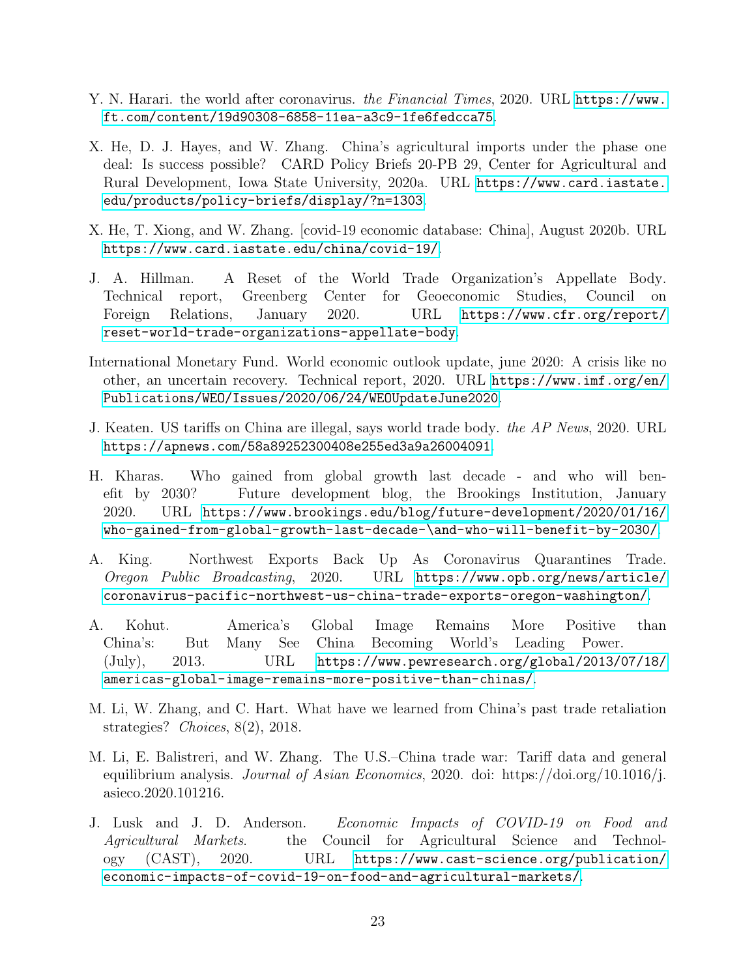- <span id="page-25-12"></span><span id="page-25-0"></span>Y. N. Harari. the world after coronavirus. the Financial Times, 2020. URL [https://www.](https://www.ft.com/content/19d90308-6858-11ea-a3c9-1fe6fedcca75) [ft.com/content/19d90308-6858-11ea-a3c9-1fe6fedcca75](https://www.ft.com/content/19d90308-6858-11ea-a3c9-1fe6fedcca75).
- <span id="page-25-3"></span>X. He, D. J. Hayes, and W. Zhang. China's agricultural imports under the phase one deal: Is success possible? CARD Policy Briefs 20-PB 29, Center for Agricultural and Rural Development, Iowa State University, 2020a. URL [https://www.card.iastate.](https://www.card.iastate.edu/products/policy-briefs/display/?n=1303) [edu/products/policy-briefs/display/?n=1303](https://www.card.iastate.edu/products/policy-briefs/display/?n=1303).
- <span id="page-25-4"></span>X. He, T. Xiong, and W. Zhang. [covid-19 economic database: China], August 2020b. URL <https://www.card.iastate.edu/china/covid-19/>.
- <span id="page-25-7"></span>J. A. Hillman. A Reset of the World Trade Organization's Appellate Body. Technical report, Greenberg Center for Geoeconomic Studies, Council on Foreign Relations, January 2020. URL [https://www.cfr.org/report/](https://www.cfr.org/report/reset-world-trade-organizations-appellate-body) [reset-world-trade-organizations-appellate-body](https://www.cfr.org/report/reset-world-trade-organizations-appellate-body).
- <span id="page-25-1"></span>International Monetary Fund. World economic outlook update, june 2020: A crisis like no other, an uncertain recovery. Technical report, 2020. URL [https://www.imf.org/en/](https://www.imf.org/en/Publications/WEO/Issues/2020/06/24/WEOUpdateJune2020) [Publications/WEO/Issues/2020/06/24/WEOUpdateJune2020](https://www.imf.org/en/Publications/WEO/Issues/2020/06/24/WEOUpdateJune2020).
- <span id="page-25-8"></span>J. Keaten. US tariffs on China are illegal, says world trade body. the AP News, 2020. URL <https://apnews.com/58a89252300408e255ed3a9a26004091>.
- <span id="page-25-11"></span>H. Kharas. Who gained from global growth last decade - and who will benefit by 2030? Future development blog, the Brookings Institution, January 2020. URL [https://www.brookings.edu/blog/future-development/2020/01/16/](https://www.brookings.edu/blog/future-development/2020/01/16/who-gained-from-global-growth-last-decade-\and-who-will-benefit-by-2030/) [who-gained-from-global-growth-last-decade-\and-who-will-benefit-by-2030/](https://www.brookings.edu/blog/future-development/2020/01/16/who-gained-from-global-growth-last-decade-\and-who-will-benefit-by-2030/).
- <span id="page-25-5"></span>A. King. Northwest Exports Back Up As Coronavirus Quarantines Trade. Oregon Public Broadcasting, 2020. URL [https://www.opb.org/news/article/](https://www.opb.org/news/article/coronavirus-pacific-northwest-us-china-trade-exports-oregon-washington/) [coronavirus-pacific-northwest-us-china-trade-exports-oregon-washington/](https://www.opb.org/news/article/coronavirus-pacific-northwest-us-china-trade-exports-oregon-washington/).
- <span id="page-25-9"></span>A. Kohut. America's Global Image Remains More Positive than China's: But Many See China Becoming World's Leading Power. (July), 2013. URL [https://www.pewresearch.org/global/2013/07/18/](https://www.pewresearch.org/global/2013/07/18/americas-global-image-remains-more-positive-than-chinas/) [americas-global-image-remains-more-positive-than-chinas/](https://www.pewresearch.org/global/2013/07/18/americas-global-image-remains-more-positive-than-chinas/).
- <span id="page-25-6"></span>M. Li, W. Zhang, and C. Hart. What have we learned from China's past trade retaliation strategies? Choices, 8(2), 2018.
- <span id="page-25-10"></span>M. Li, E. Balistreri, and W. Zhang. The U.S.–China trade war: Tariff data and general equilibrium analysis. *Journal of Asian Economics*, 2020. doi: https://doi.org/10.1016/j. asieco.2020.101216.
- <span id="page-25-2"></span>J. Lusk and J. D. Anderson. Economic Impacts of COVID-19 on Food and Agricultural Markets. the Council for Agricultural Science and Technology (CAST), 2020. URL [https://www.cast-science.org/publication/](https://www.cast-science.org/publication/economic-impacts-of-covid-19-on-food-and-agricultural-markets/) [economic-impacts-of-covid-19-on-food-and-agricultural-markets/](https://www.cast-science.org/publication/economic-impacts-of-covid-19-on-food-and-agricultural-markets/).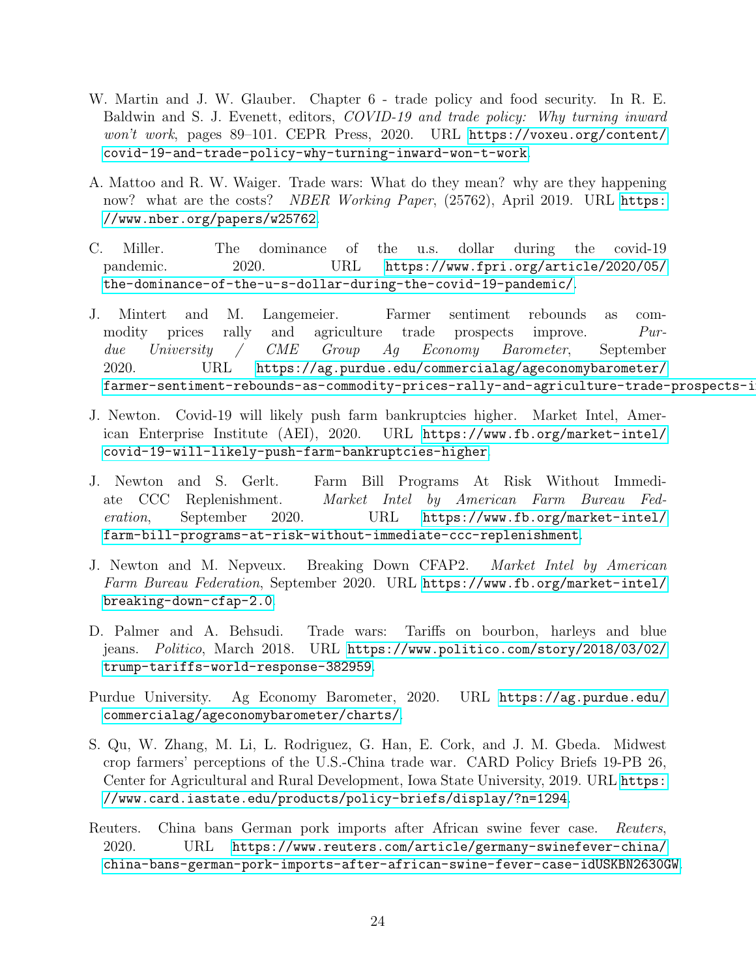- <span id="page-26-11"></span><span id="page-26-10"></span><span id="page-26-1"></span>W. Martin and J. W. Glauber. Chapter 6 - trade policy and food security. In R. E. Baldwin and S. J. Evenett, editors, *COVID-19 and trade policy: Why turning inward* won't work, pages 89–101. CEPR Press, 2020. URL [https://voxeu.org/content/](https://voxeu.org/content/covid-19-and-trade-policy-why-turning-inward-won-t-work) [covid-19-and-trade-policy-why-turning-inward-won-t-work](https://voxeu.org/content/covid-19-and-trade-policy-why-turning-inward-won-t-work).
- <span id="page-26-5"></span>A. Mattoo and R. W. Waiger. Trade wars: What do they mean? why are they happening now? what are the costs? NBER Working Paper, (25762), April 2019. URL [https:](https://www.nber.org/papers/w25762) [//www.nber.org/papers/w25762](https://www.nber.org/papers/w25762).
- <span id="page-26-3"></span>C. Miller. The dominance of the u.s. dollar during the covid-19 pandemic. 2020. URL [https://www.fpri.org/article/2020/05/](https://www.fpri.org/article/2020/05/the-dominance-of-the-u-s-dollar-during-the-covid-19-pandemic/) [the-dominance-of-the-u-s-dollar-during-the-covid-19-pandemic/](https://www.fpri.org/article/2020/05/the-dominance-of-the-u-s-dollar-during-the-covid-19-pandemic/).
- <span id="page-26-2"></span>J. Mintert and M. Langemeier. Farmer sentiment rebounds as commodity prices rally and agriculture trade prospects improve. Purdue University / CME Group Ag Economy Barometer, September 2020. URL [https://ag.purdue.edu/commercialag/ageconomybarometer/](https://ag.purdue.edu/commercialag/ageconomybarometer/farmer-sentiment-rebounds-as-commodity-prices-rally-and-agriculture-trade-prospects-improve/) farmer-sentiment-rebounds-as-commodity-prices-rally-and-agriculture-trade-prospects-i
- <span id="page-26-0"></span>J. Newton. Covid-19 will likely push farm bankruptcies higher. Market Intel, American Enterprise Institute (AEI), 2020. URL [https://www.fb.org/market-intel/](https://www.fb.org/market-intel/covid-19-will-likely-push-farm-bankruptcies-higher) [covid-19-will-likely-push-farm-bankruptcies-higher](https://www.fb.org/market-intel/covid-19-will-likely-push-farm-bankruptcies-higher).
- <span id="page-26-7"></span>J. Newton and S. Gerlt. Farm Bill Programs At Risk Without Immediate CCC Replenishment. Market Intel by American Farm Bureau Federation, September 2020. URL [https://www.fb.org/market-intel/](https://www.fb.org/market-intel/farm-bill-programs-at-risk-without-immediate-ccc-replenishment) [farm-bill-programs-at-risk-without-immediate-ccc-replenishment](https://www.fb.org/market-intel/farm-bill-programs-at-risk-without-immediate-ccc-replenishment).
- <span id="page-26-6"></span>J. Newton and M. Nepveux. Breaking Down CFAP2. Market Intel by American Farm Bureau Federation, September 2020. URL [https://www.fb.org/market-intel/](https://www.fb.org/market-intel/breaking-down-cfap-2.0) [breaking-down-cfap-2.0](https://www.fb.org/market-intel/breaking-down-cfap-2.0).
- <span id="page-26-4"></span>D. Palmer and A. Behsudi. Trade wars: Tariffs on bourbon, harleys and blue jeans. Politico, March 2018. URL [https://www.politico.com/story/2018/03/02/](https://www.politico.com/story/2018/03/02/trump-tariffs-world-response-382959) [trump-tariffs-world-response-382959](https://www.politico.com/story/2018/03/02/trump-tariffs-world-response-382959).
- Purdue University. Ag Economy Barometer, 2020. URL [https://ag.purdue.edu/](https://ag.purdue.edu/commercialag/ageconomybarometer/charts/) [commercialag/ageconomybarometer/charts/](https://ag.purdue.edu/commercialag/ageconomybarometer/charts/).
- <span id="page-26-8"></span>S. Qu, W. Zhang, M. Li, L. Rodriguez, G. Han, E. Cork, and J. M. Gbeda. Midwest crop farmers' perceptions of the U.S.-China trade war. CARD Policy Briefs 19-PB 26, Center for Agricultural and Rural Development, Iowa State University, 2019. URL [https:](https://www.card.iastate.edu/products/policy-briefs/display/?n=1294) [//www.card.iastate.edu/products/policy-briefs/display/?n=1294](https://www.card.iastate.edu/products/policy-briefs/display/?n=1294).
- <span id="page-26-9"></span>Reuters. China bans German pork imports after African swine fever case. Reuters, 2020. URL [https://www.reuters.com/article/germany-swinefever-china/](https://www.reuters.com/article/germany-swinefever-china/china-bans-german-pork-imports-after-african-swine-fever-case-idUSKBN2630GW) [china-bans-german-pork-imports-after-african-swine-fever-case-idUSKBN2630GW](https://www.reuters.com/article/germany-swinefever-china/china-bans-german-pork-imports-after-african-swine-fever-case-idUSKBN2630GW).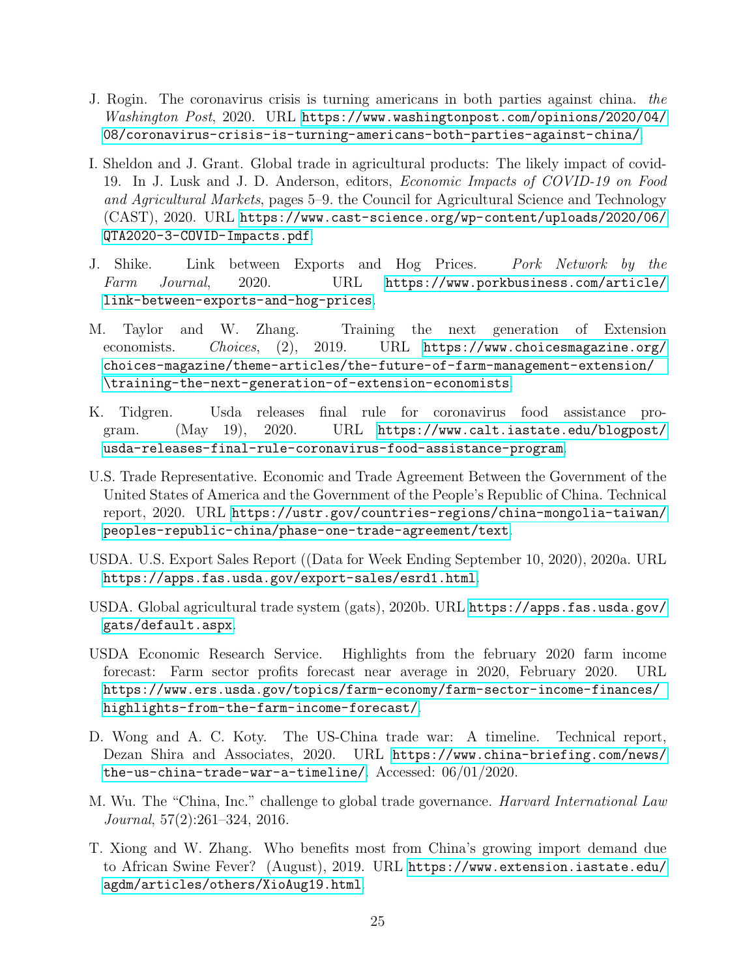- <span id="page-27-12"></span><span id="page-27-8"></span>J. Rogin. The coronavirus crisis is turning americans in both parties against china. the Washington Post, 2020. URL [https://www.washingtonpost.com/opinions/2020/04/](https://www.washingtonpost.com/opinions/2020/04/08/coronavirus-crisis-is-turning-americans-both-parties-against-china/) [08/coronavirus-crisis-is-turning-americans-both-parties-against-china/](https://www.washingtonpost.com/opinions/2020/04/08/coronavirus-crisis-is-turning-americans-both-parties-against-china/).
- <span id="page-27-1"></span>I. Sheldon and J. Grant. Global trade in agricultural products: The likely impact of covid-19. In J. Lusk and J. D. Anderson, editors, Economic Impacts of COVID-19 on Food and Agricultural Markets, pages 5–9. the Council for Agricultural Science and Technology (CAST), 2020. URL [https://www.cast-science.org/wp-content/uploads/2020/06/](https://www.cast-science.org/wp-content/uploads/2020/06/QTA2020-3-COVID-Impacts.pdf) [QTA2020-3-COVID-Impacts.pdf](https://www.cast-science.org/wp-content/uploads/2020/06/QTA2020-3-COVID-Impacts.pdf).
- <span id="page-27-3"></span>J. Shike. Link between Exports and Hog Prices. Pork Network by the Farm Journal, 2020. URL [https://www.porkbusiness.com/article/](https://www.porkbusiness.com/article/link-between-exports-and-hog-prices) [link-between-exports-and-hog-prices](https://www.porkbusiness.com/article/link-between-exports-and-hog-prices).
- <span id="page-27-10"></span>M. Taylor and W. Zhang. Training the next generation of Extension economists. Choices, (2), 2019. URL [https://www.choicesmagazine.org/](https://www.choicesmagazine.org/choices-magazine/theme-articles/the-future-of-farm-management-extension/\training-the-next-generation-of-extension-economists) [choices-magazine/theme-articles/the-future-of-farm-management-extension/](https://www.choicesmagazine.org/choices-magazine/theme-articles/the-future-of-farm-management-extension/\training-the-next-generation-of-extension-economists) [\training-the-next-generation-of-extension-economists](https://www.choicesmagazine.org/choices-magazine/theme-articles/the-future-of-farm-management-extension/\training-the-next-generation-of-extension-economists).
- <span id="page-27-6"></span>K. Tidgren. Usda releases final rule for coronavirus food assistance program. (May 19), 2020. URL [https://www.calt.iastate.edu/blogpost/](https://www.calt.iastate.edu/blogpost/usda-releases-final-rule-coronavirus-food-assistance-program) [usda-releases-final-rule-coronavirus-food-assistance-program](https://www.calt.iastate.edu/blogpost/usda-releases-final-rule-coronavirus-food-assistance-program).
- <span id="page-27-11"></span>U.S. Trade Representative. Economic and Trade Agreement Between the Government of the United States of America and the Government of the People's Republic of China. Technical report, 2020. URL [https://ustr.gov/countries-regions/china-mongolia-taiwan/](https://ustr.gov/countries-regions/china-mongolia-taiwan/peoples-republic-china/phase-one-trade-agreement/text) [peoples-republic-china/phase-one-trade-agreement/text](https://ustr.gov/countries-regions/china-mongolia-taiwan/peoples-republic-china/phase-one-trade-agreement/text).
- <span id="page-27-4"></span>USDA. U.S. Export Sales Report ((Data for Week Ending September 10, 2020), 2020a. URL <https://apps.fas.usda.gov/export-sales/esrd1.html>.
- <span id="page-27-5"></span>USDA. Global agricultural trade system (gats), 2020b. URL [https://apps.fas.usda.gov/](https://apps.fas.usda.gov/gats/default.aspx) [gats/default.aspx](https://apps.fas.usda.gov/gats/default.aspx).
- <span id="page-27-0"></span>USDA Economic Research Service. Highlights from the february 2020 farm income forecast: Farm sector profits forecast near average in 2020, February 2020. URL [https://www.ers.usda.gov/topics/farm-economy/farm-sector-income-finances/](https://www.ers.usda.gov/topics/farm-economy/farm-sector-income-finances/highlights-from-the-farm-income-forecast/) [highlights-from-the-farm-income-forecast/](https://www.ers.usda.gov/topics/farm-economy/farm-sector-income-finances/highlights-from-the-farm-income-forecast/).
- <span id="page-27-7"></span>D. Wong and A. C. Koty. The US-China trade war: A timeline. Technical report, Dezan Shira and Associates, 2020. URL [https://www.china-briefing.com/news/](https://www.china-briefing.com/news/the-us-china-trade-war-a-timeline/) [the-us-china-trade-war-a-timeline/](https://www.china-briefing.com/news/the-us-china-trade-war-a-timeline/). Accessed: 06/01/2020.
- <span id="page-27-2"></span>M. Wu. The "China, Inc." challenge to global trade governance. Harvard International Law Journal, 57(2):261–324, 2016.
- <span id="page-27-9"></span>T. Xiong and W. Zhang. Who benefits most from China's growing import demand due to African Swine Fever? (August), 2019. URL [https://www.extension.iastate.edu/](https://www.extension.iastate.edu/agdm/articles/others/XioAug19.html) [agdm/articles/others/XioAug19.html](https://www.extension.iastate.edu/agdm/articles/others/XioAug19.html).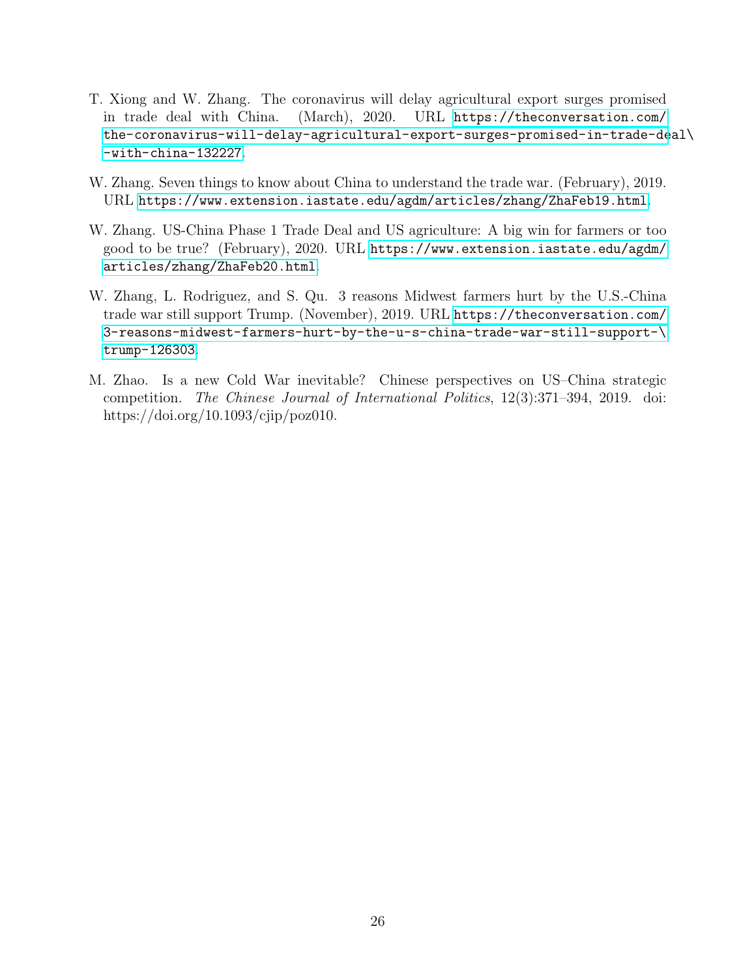- <span id="page-28-1"></span>T. Xiong and W. Zhang. The coronavirus will delay agricultural export surges promised in trade deal with China. (March), 2020. URL [https://theconversation.com/](https://theconversation.com/the-coronavirus-will-delay-agricultural-export-surges-promised-in-trade-deal\-with-china-132227) [the-coronavirus-will-delay-agricultural-export-surges-promised-in-trade-de](https://theconversation.com/the-coronavirus-will-delay-agricultural-export-surges-promised-in-trade-deal\-with-china-132227)al\ [-with-china-132227](https://theconversation.com/the-coronavirus-will-delay-agricultural-export-surges-promised-in-trade-deal\-with-china-132227).
- <span id="page-28-2"></span>W. Zhang. Seven things to know about China to understand the trade war. (February), 2019. URL <https://www.extension.iastate.edu/agdm/articles/zhang/ZhaFeb19.html>.
- <span id="page-28-0"></span>W. Zhang. US-China Phase 1 Trade Deal and US agriculture: A big win for farmers or too good to be true? (February), 2020. URL [https://www.extension.iastate.edu/agdm/](https://www.extension.iastate.edu/agdm/articles/zhang/ZhaFeb20.html) [articles/zhang/ZhaFeb20.html](https://www.extension.iastate.edu/agdm/articles/zhang/ZhaFeb20.html).
- <span id="page-28-4"></span>W. Zhang, L. Rodriguez, and S. Qu. 3 reasons Midwest farmers hurt by the U.S.-China trade war still support Trump. (November), 2019. URL [https://theconversation.com/](https://theconversation.com/3-reasons-midwest-farmers-hurt-by-the-u-s-china-trade-war-still-support-\trump-126303) [3-reasons-midwest-farmers-hurt-by-the-u-s-china-trade-war-still-support-\](https://theconversation.com/3-reasons-midwest-farmers-hurt-by-the-u-s-china-trade-war-still-support-\trump-126303) [trump-126303](https://theconversation.com/3-reasons-midwest-farmers-hurt-by-the-u-s-china-trade-war-still-support-\trump-126303).
- <span id="page-28-3"></span>M. Zhao. Is a new Cold War inevitable? Chinese perspectives on US–China strategic competition. The Chinese Journal of International Politics, 12(3):371–394, 2019. doi: https://doi.org/10.1093/cjip/poz010.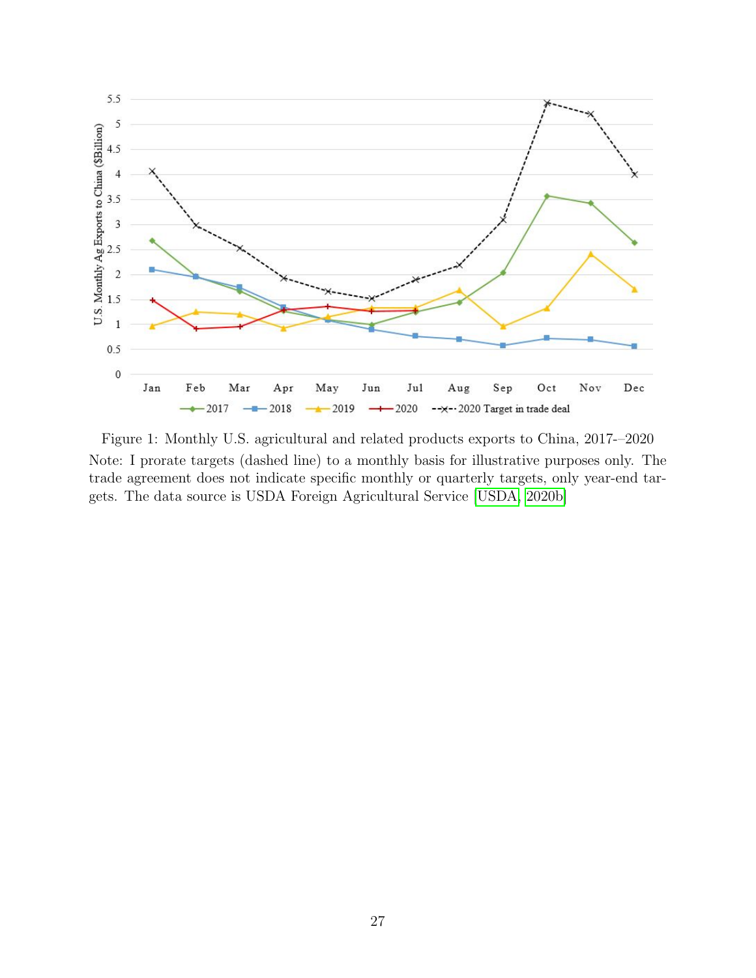<span id="page-29-0"></span>

Figure 1: Monthly U.S. agricultural and related products exports to China, 2017-–2020 Note: I prorate targets (dashed line) to a monthly basis for illustrative purposes only. The trade agreement does not indicate specific monthly or quarterly targets, only year-end targets. The data source is USDA Foreign Agricultural Service [\[USDA, 2020b\]](#page-27-5)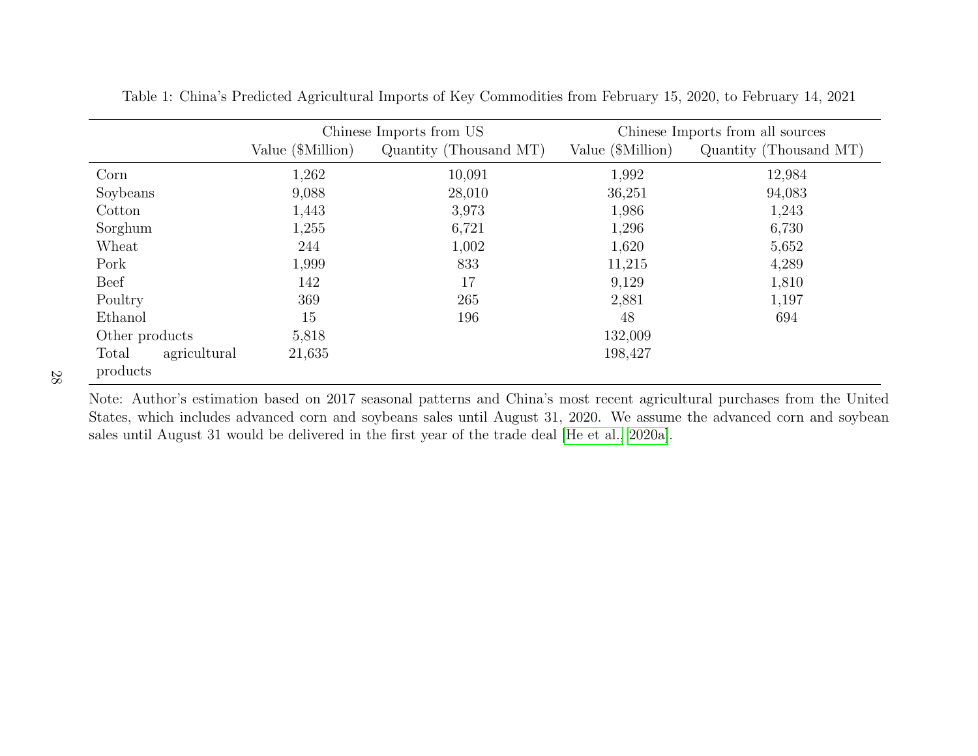|                       |                   | Chinese Imports from US | Chinese Imports from all sources |                        |  |  |
|-----------------------|-------------------|-------------------------|----------------------------------|------------------------|--|--|
|                       | Value (\$Million) | Quantity (Thousand MT)  | Value (\$Million)                | Quantity (Thousand MT) |  |  |
| Corn                  | 1,262             | 10,091                  | 1,992                            | 12,984                 |  |  |
| Soybeans              | 9,088             | 28,010                  | 36,251                           | 94,083                 |  |  |
| Cotton                | 1,443             | 3,973                   | 1,986                            | 1,243                  |  |  |
| Sorghum               | 1,255             | 6,721                   | 1,296                            | 6,730                  |  |  |
| Wheat                 | 244               | 1,002                   | 1,620                            | 5,652                  |  |  |
| Pork                  | 1,999             | 833                     | 11,215                           | 4,289                  |  |  |
| <b>Beef</b>           | 142               | 17                      | 9,129                            | 1,810                  |  |  |
| Poultry               | 369               | 265                     | 2,881                            | 1,197                  |  |  |
| Ethanol               | 15                | 196                     | 48                               | 694                    |  |  |
| Other products        | 5,818             |                         | 132,009                          |                        |  |  |
| Total<br>agricultural | 21,635            |                         | 198,427                          |                        |  |  |
| products              |                   |                         |                                  |                        |  |  |

Table 1: China's Predicted Agricultural Imports of Key Commodities from February 15, 2020, to February 14, 2021

<span id="page-30-0"></span>Note: Author's estimation based on 2017 seasonal patterns and China's most recent agricultural purchases from the United States, which includes advanced corn and soybeans sales until August 31, 2020. We assume the advanced corn and soybeansales until August <sup>31</sup> would be delivered in the first year of the trade deal [\[He](#page-25-12) et al., [2020a\]](#page-25-12).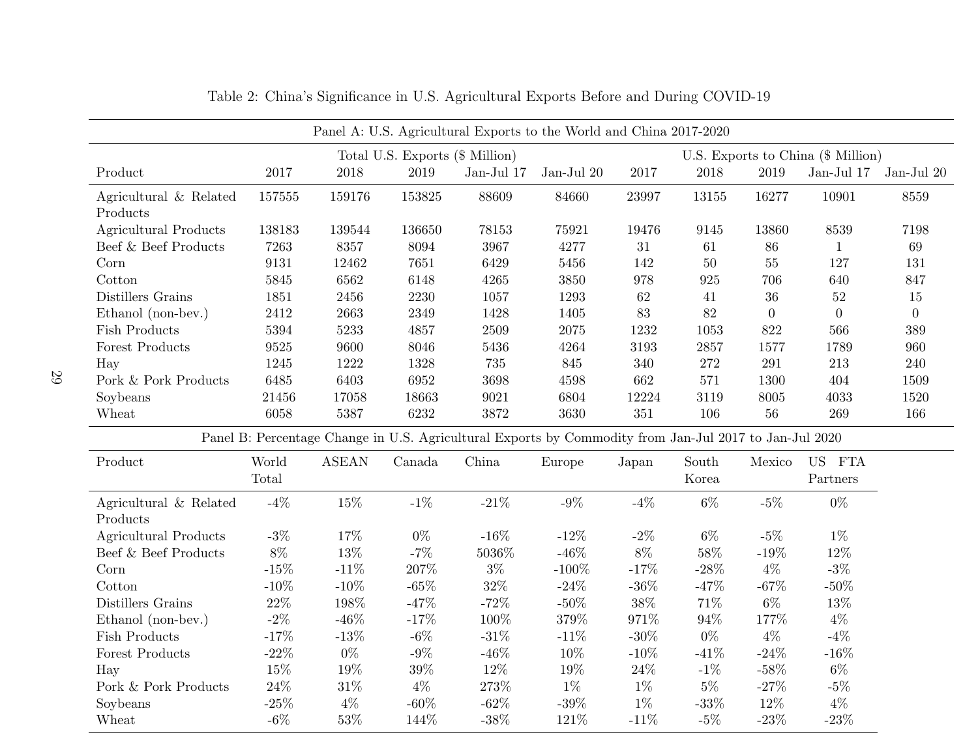<span id="page-31-0"></span>

|                                    | Panel A: U.S. Agricultural Exports to the World and China 2017-2020 |              |                                                                       |                                                                                                        |            |         |          |                  |                |                  |
|------------------------------------|---------------------------------------------------------------------|--------------|-----------------------------------------------------------------------|--------------------------------------------------------------------------------------------------------|------------|---------|----------|------------------|----------------|------------------|
|                                    |                                                                     |              | Total U.S. Exports (\$ Million)<br>U.S. Exports to China (\$ Million) |                                                                                                        |            |         |          |                  |                |                  |
| Product                            | 2017                                                                | $2018\,$     | 2019                                                                  | Jan-Jul 17                                                                                             | Jan-Jul 20 | 2017    | $2018\,$ | 2019             | Jan-Jul $17$   | Jan-Jul 20       |
| Agricultural & Related<br>Products | 157555                                                              | 159176       | 153825                                                                | 88609                                                                                                  | 84660      | 23997   | 13155    | 16277            | 10901          | 8559             |
| <b>Agricultural Products</b>       | 138183                                                              | 139544       | 136650                                                                | 78153                                                                                                  | 75921      | 19476   | 9145     | 13860            | 8539           | 7198             |
| Beef & Beef Products               | 7263                                                                | 8357         | 8094                                                                  | 3967                                                                                                   | 4277       | 31      | 61       | 86               | $\mathbf{1}$   | 69               |
| Corn                               | 9131                                                                | 12462        | 7651                                                                  | 6429                                                                                                   | 5456       | 142     | $50\,$   | 55               | 127            | 131              |
| Cotton                             | 5845                                                                | 6562         | 6148                                                                  | 4265                                                                                                   | 3850       | 978     | 925      | 706              | 640            | 847              |
| Distillers Grains                  | 1851                                                                | 2456         | 2230                                                                  | 1057                                                                                                   | 1293       | $62\,$  | $41\,$   | $36\,$           | $52\,$         | $15\,$           |
| Ethanol (non-bev.)                 | 2412                                                                | 2663         | 2349                                                                  | 1428                                                                                                   | 1405       | 83      | 82       | $\boldsymbol{0}$ | $\overline{0}$ | $\boldsymbol{0}$ |
| <b>Fish Products</b>               | 5394                                                                | 5233         | 4857                                                                  | 2509                                                                                                   | $2075\,$   | 1232    | 1053     | 822              | 566            | 389              |
| Forest Products                    | 9525                                                                | 9600         | 8046                                                                  | 5436                                                                                                   | 4264       | 3193    | 2857     | 1577             | 1789           | 960              |
| Hay                                | 1245                                                                | $1222\,$     | 1328                                                                  | $735\,$                                                                                                | 845        | 340     | 272      | 291              | $213\,$        | $240\,$          |
| Pork & Pork Products               | 6485                                                                | 6403         | 6952                                                                  | 3698                                                                                                   | 4598       | 662     | $571\,$  | 1300             | 404            | 1509             |
| Soybeans                           | 21456                                                               | 17058        | 18663                                                                 | 9021                                                                                                   | 6804       | 12224   | 3119     | 8005             | 4033           | 1520             |
| Wheat                              | 6058                                                                | 5387         | 6232                                                                  | 3872                                                                                                   | 3630       | 351     | 106      | 56               | 269            | 166              |
|                                    |                                                                     |              |                                                                       | Panel B: Percentage Change in U.S. Agricultural Exports by Commodity from Jan-Jul 2017 to Jan-Jul 2020 |            |         |          |                  |                |                  |
| Product                            | World                                                               | <b>ASEAN</b> | Canada                                                                | China                                                                                                  | Europe     | Japan   | South    | Mexico           | US FTA         |                  |
|                                    | Total                                                               |              |                                                                       |                                                                                                        |            |         | Korea    |                  | Partners       |                  |
| Agricultural & Related             | $-4%$                                                               | 15%          | $-1\%$                                                                | $-21\%$                                                                                                | $-9\%$     | $-4%$   | $6\%$    | $-5%$            | $0\%$          |                  |
| Products                           |                                                                     |              |                                                                       |                                                                                                        |            |         |          |                  |                |                  |
| <b>Agricultural Products</b>       | $-3%$                                                               | 17%          | $0\%$                                                                 | $-16%$                                                                                                 | $-12%$     | $-2\%$  | $6\%$    | $-5%$            | $1\%$          |                  |
| Beef & Beef Products               | $8\%$                                                               | 13%          | $-7%$                                                                 | $5036\%$                                                                                               | $-46\%$    | $8\%$   | 58%      | $-19\%$          | 12%            |                  |
| Corn                               | $-15%$                                                              | $-11%$       | $207\%$                                                               | $3\%$                                                                                                  | $-100\%$   | $-17\%$ | $-28%$   | $4\%$            | $-3\%$         |                  |
| Cotton                             | $-10\%$                                                             | $-10%$       | $-65%$                                                                | $32\%$                                                                                                 | $-24\%$    | $-36\%$ | $-47%$   | $-67\%$          | $-50%$         |                  |
| Distillers Grains                  | $22\%$                                                              | 198%         | $-47%$                                                                | $-72%$                                                                                                 | $-50\%$    | $38\%$  | $71\%$   | $6\%$            | 13%            |                  |
| Ethanol (non-bev.)                 | $-2\%$                                                              | $-46%$       | $-17%$                                                                | $100\%$                                                                                                | $379\%$    | $971\%$ | $94\%$   | 177%             | $4\%$          |                  |
| <b>Fish Products</b>               | $-17%$                                                              | $-13%$       | $-6\%$                                                                | $-31\%$                                                                                                | $-11\%$    | $-30\%$ | $0\%$    | $4\%$            | $-4%$          |                  |
| Forest Products                    | $-22\%$                                                             | $0\%$        | $-9\%$                                                                | $-46\%$                                                                                                | 10%        | $-10\%$ | $-41%$   | $-24\%$          | $-16%$         |                  |
| Hay                                | $15\%$                                                              | 19%          | $39\%$                                                                | $12\%$                                                                                                 | 19%        | $24\%$  | $-1\%$   | $-58\%$          | $6\%$          |                  |
| Pork & Pork Products               | $24\%$                                                              | $31\%$       | $4\%$                                                                 | $273\%$                                                                                                | $1\%$      | $1\%$   | $5\%$    | $-27\%$          | $-5%$          |                  |
| Soybeans                           | $-25\%$                                                             | $4\%$        | $-60\%$                                                               | $-62\%$                                                                                                | $-39\%$    | $1\%$   | $-33%$   | 12%              | $4\%$          |                  |
| Wheat                              | $-6\%$                                                              | 53%          | 144%                                                                  | $-38\%$                                                                                                | 121%       | $-11%$  | $-5%$    | $-23%$           | $-23%$         |                  |

Table 2: China's Significance in U.S. Agricultural Exports Before and During COVID-19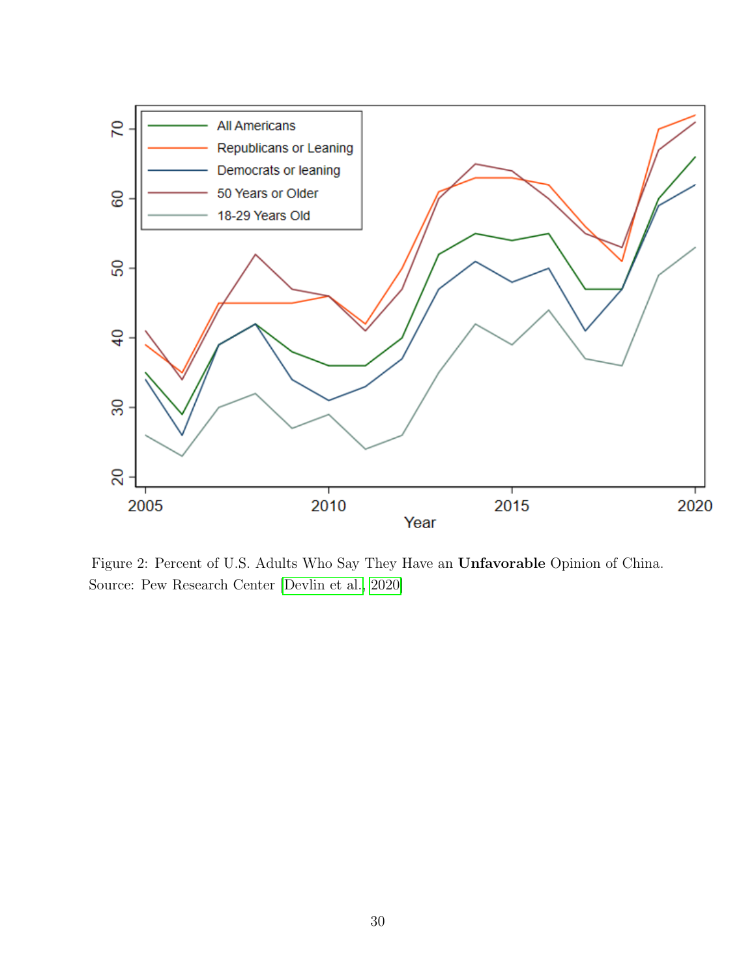<span id="page-32-0"></span>

Figure 2: Percent of U.S. Adults Who Say They Have an Unfavorable Opinion of China. Source: Pew Research Center [\[Devlin et al., 2020\]](#page-24-1)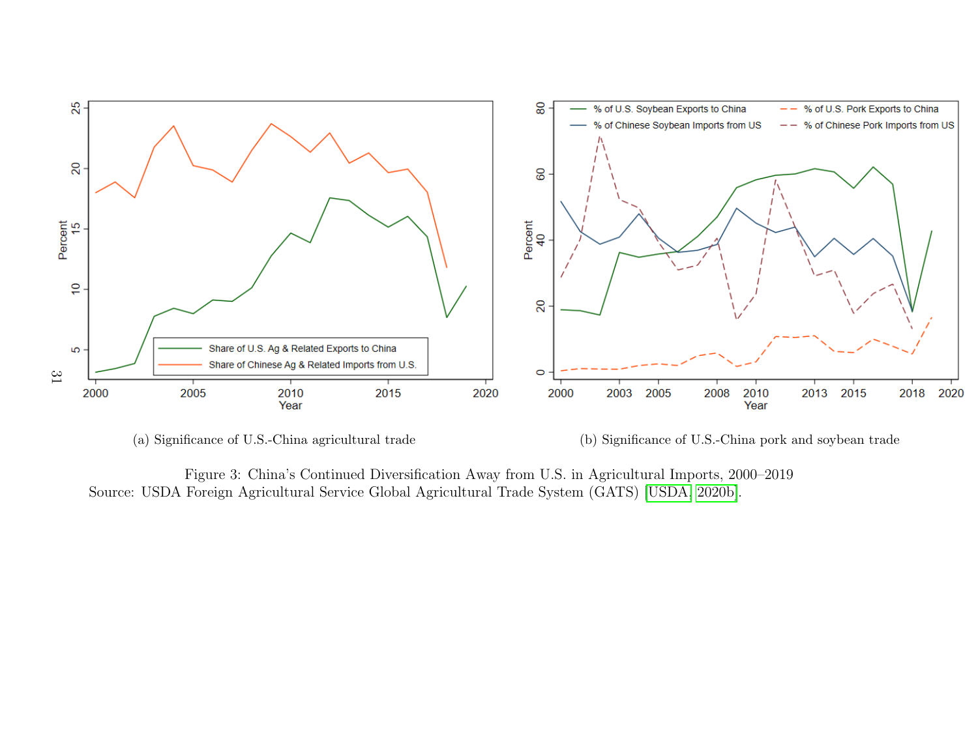<span id="page-33-0"></span>

(a) Significance of U.S.-China agricultural trade

(b) Significance of U.S.-China por<sup>k</sup> and soybean trade

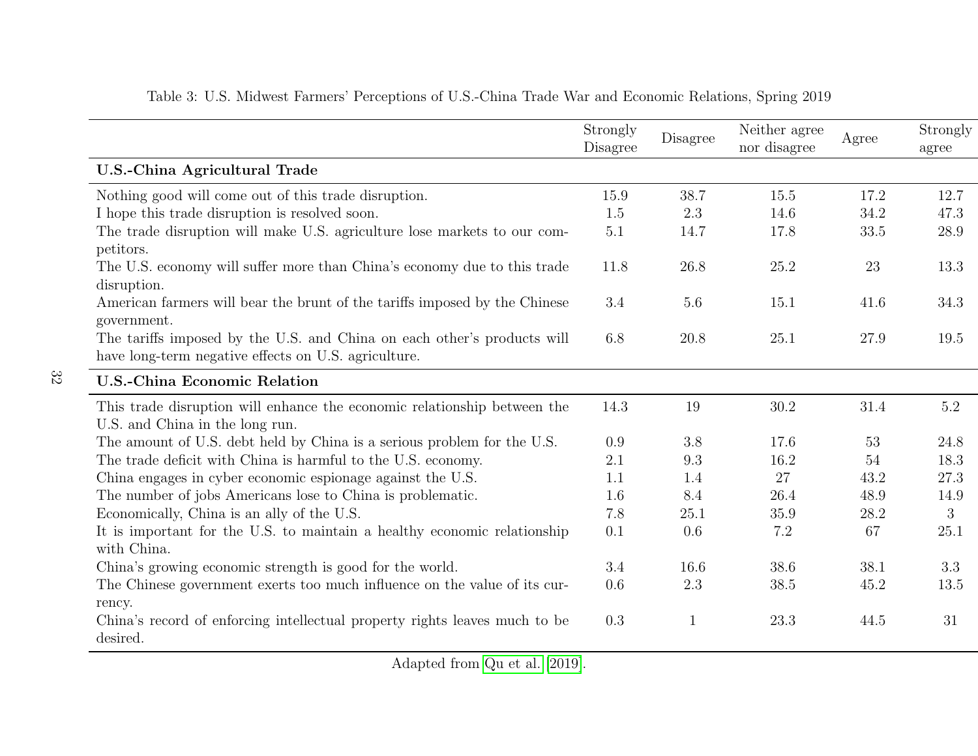|                                                                            | Strongly<br>Disagree | $\begin{array}{c} \textbf{Disagree} \end{array}$ | Neither agree<br>nor disagree | Agree | Strongly<br>agree |
|----------------------------------------------------------------------------|----------------------|--------------------------------------------------|-------------------------------|-------|-------------------|
| <b>U.S.-China Agricultural Trade</b>                                       |                      |                                                  |                               |       |                   |
| Nothing good will come out of this trade disruption.                       | 15.9                 | 38.7                                             | 15.5                          | 17.2  | 12.7              |
| I hope this trade disruption is resolved soon.                             | 1.5                  | 2.3                                              | 14.6                          | 34.2  | 47.3              |
| The trade disruption will make U.S. agriculture lose markets to our com-   | 5.1                  | 14.7                                             | 17.8                          | 33.5  | 28.9              |
| petitors.                                                                  |                      |                                                  |                               |       |                   |
| The U.S. economy will suffer more than China's economy due to this trade   | 11.8                 | 26.8                                             | 25.2                          | 23    | 13.3              |
| disruption.                                                                |                      |                                                  |                               |       |                   |
| American farmers will bear the brunt of the tariffs imposed by the Chinese | 3.4                  | 5.6                                              | 15.1                          | 41.6  | 34.3              |
| government.                                                                |                      |                                                  |                               |       |                   |
| The tariffs imposed by the U.S. and China on each other's products will    | 6.8                  | 20.8                                             | 25.1                          | 27.9  | 19.5              |
| have long-term negative effects on U.S. agriculture.                       |                      |                                                  |                               |       |                   |
| <b>U.S.-China Economic Relation</b>                                        |                      |                                                  |                               |       |                   |
| This trade disruption will enhance the economic relationship between the   | 14.3                 | 19                                               | 30.2                          | 31.4  | 5.2               |
| U.S. and China in the long run.                                            |                      |                                                  |                               |       |                   |
| The amount of U.S. debt held by China is a serious problem for the U.S.    | 0.9                  | 3.8                                              | 17.6                          | 53    | 24.8              |
| The trade deficit with China is harmful to the U.S. economy.               | 2.1                  | 9.3                                              | 16.2                          | 54    | 18.3              |
| China engages in cyber economic espionage against the U.S.                 | 1.1                  | 1.4                                              | 27                            | 43.2  | 27.3              |
| The number of jobs Americans lose to China is problematic.                 | 1.6                  | 8.4                                              | 26.4                          | 48.9  | 14.9              |
| Economically, China is an ally of the U.S.                                 | 7.8                  | 25.1                                             | 35.9                          | 28.2  | 3                 |
| It is important for the U.S. to maintain a healthy economic relationship   | 0.1                  | 0.6                                              | 7.2                           | 67    | 25.1              |
| with China.                                                                |                      |                                                  |                               |       |                   |
| China's growing economic strength is good for the world.                   | 3.4                  | 16.6                                             | 38.6                          | 38.1  | 3.3               |
| The Chinese government exerts too much influence on the value of its cur-  | 0.6                  | 2.3                                              | 38.5                          | 45.2  | 13.5              |
| rency.                                                                     |                      |                                                  |                               |       |                   |
| China's record of enforcing intellectual property rights leaves much to be | 0.3                  | $\mathbf{1}$                                     | 23.3                          | 44.5  | 31                |
| desired.                                                                   |                      |                                                  |                               |       |                   |

32

#### <span id="page-34-0"></span>Table 3: U.S. Midwest Farmers' Perceptions of U.S.-China Trade War and Economic Relations, Spring 2019

Adapted from [Qu](#page-26-10) et al. [\[2019\]](#page-26-10).